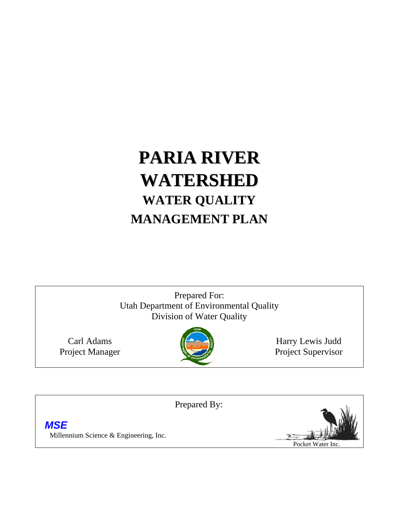# **PARIA RIVER WATERSHED WATER QUALITY MANAGEMENT PLAN**

Prepared For: Utah Department of Environmental Quality Division of Water Quality

Carl Adams Project Manager



Harry Lewis Judd Project Supervisor

Prepared By:

 *MSE* Millennium Science & Engineering, Inc.

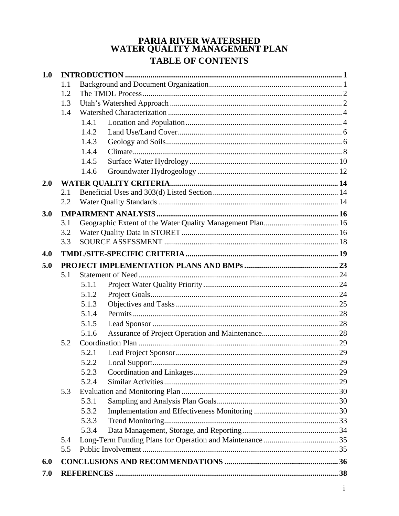# PARIA RIVER WATERSHED<br>WATER QUALITY MANAGEMENT PLAN **TABLE OF CONTENTS**

| 1.0 |            |                |  |
|-----|------------|----------------|--|
|     | 1.1        |                |  |
|     | 1.2        |                |  |
|     | 1.3        |                |  |
|     | 1.4        |                |  |
|     |            | 1.4.1          |  |
|     |            | 1.4.2          |  |
|     |            | 1.4.3          |  |
|     |            | 1.4.4          |  |
|     |            | 1.4.5          |  |
|     |            | 1.4.6          |  |
| 2.0 |            |                |  |
|     | 2.1        |                |  |
|     | 2.2        |                |  |
| 3.0 |            |                |  |
|     | 3.1        |                |  |
|     | 3.2        |                |  |
|     | 3.3        |                |  |
| 4.0 |            |                |  |
|     |            |                |  |
| 5.0 |            |                |  |
|     | 5.1        |                |  |
|     |            | 5.1.1<br>5.1.2 |  |
|     |            | 5.1.3          |  |
|     |            |                |  |
|     |            | 5.1.4          |  |
|     |            | 5.1.5          |  |
|     | 5.2        | 5.1.6          |  |
|     |            | 5.2.1          |  |
|     |            |                |  |
|     |            | 5.2.2          |  |
|     |            | 5.2.3          |  |
|     |            | 5.2.4          |  |
|     | 5.3        | 5.3.1          |  |
|     |            |                |  |
|     |            | 5.3.2          |  |
|     |            | 5.3.3          |  |
|     |            | 5.3.4          |  |
|     | 5.4<br>5.5 |                |  |
|     |            |                |  |
| 6.0 |            |                |  |
| 7.0 |            |                |  |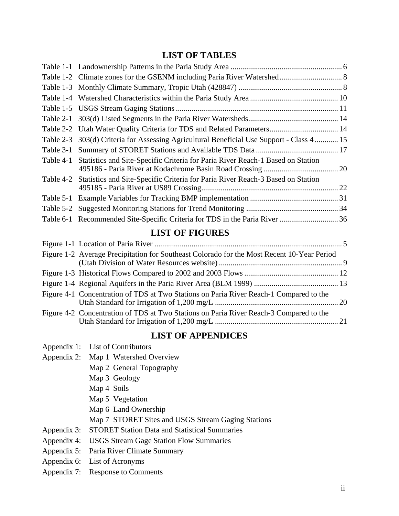# **LIST OF TABLES**

|           | Table 2-2 Utah Water Quality Criteria for TDS and Related Parameters 14                  |  |
|-----------|------------------------------------------------------------------------------------------|--|
| Table 2-3 | 303(d) Criteria for Assessing Agricultural Beneficial Use Support - Class 4 15           |  |
| Table 3-1 |                                                                                          |  |
|           | Table 4-1 Statistics and Site-Specific Criteria for Paria River Reach-1 Based on Station |  |
|           | Table 4-2 Statistics and Site-Specific Criteria for Paria River Reach-3 Based on Station |  |
|           |                                                                                          |  |
| Table 5-2 |                                                                                          |  |
|           |                                                                                          |  |
|           |                                                                                          |  |

#### **LIST OF FIGURES**

| Figure 1-2 Average Precipitation for Southeast Colorado for the Most Recent 10-Year Period |  |
|--------------------------------------------------------------------------------------------|--|
|                                                                                            |  |
|                                                                                            |  |
| Figure 4-1 Concentration of TDS at Two Stations on Paria River Reach-1 Compared to the     |  |
| Figure 4-2 Concentration of TDS at Two Stations on Paria River Reach-3 Compared to the     |  |

# **LIST OF APPENDICES**

- Appendix 2: Map 1 Watershed Overview
	- Map 2 General Topography
	- Map 3 Geology
	- Map 4 Soils
	- Map 5 Vegetation
	- Map 6 Land Ownership
	- Map 7 STORET Sites and USGS Stream Gaging Stations
- Appendix 3: STORET Station Data and Statistical Summaries
- Appendix 4: USGS Stream Gage Station Flow Summaries
- Appendix 5: Paria River Climate Summary
- Appendix 6: List of Acronyms
- Appendix 7: Response to Comments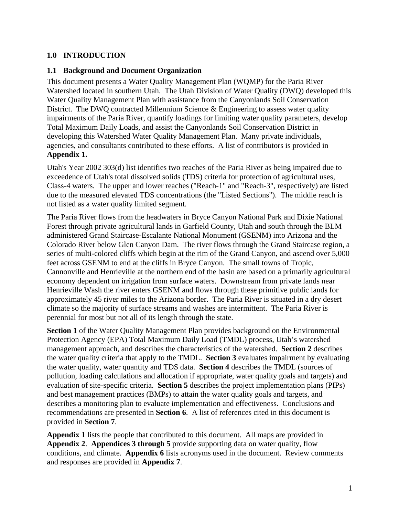# **1.0 INTRODUCTION**

#### **1.1 Background and Document Organization**

This document presents a Water Quality Management Plan (WQMP) for the Paria River Watershed located in southern Utah. The Utah Division of Water Quality (DWQ) developed this Water Quality Management Plan with assistance from the Canyonlands Soil Conservation District. The DWO contracted Millennium Science & Engineering to assess water quality impairments of the Paria River, quantify loadings for limiting water quality parameters, develop Total Maximum Daily Loads, and assist the Canyonlands Soil Conservation District in developing this Watershed Water Quality Management Plan. Many private individuals, agencies, and consultants contributed to these efforts. A list of contributors is provided in **Appendix 1.** 

Utah's Year 2002 303(d) list identifies two reaches of the Paria River as being impaired due to exceedence of Utah's total dissolved solids (TDS) criteria for protection of agricultural uses, Class-4 waters. The upper and lower reaches ("Reach-1" and "Reach-3", respectively) are listed due to the measured elevated TDS concentrations (the "Listed Sections"). The middle reach is not listed as a water quality limited segment.

The Paria River flows from the headwaters in Bryce Canyon National Park and Dixie National Forest through private agricultural lands in Garfield County, Utah and south through the BLM administered Grand Staircase-Escalante National Monument (GSENM) into Arizona and the Colorado River below Glen Canyon Dam. The river flows through the Grand Staircase region, a series of multi-colored cliffs which begin at the rim of the Grand Canyon, and ascend over 5,000 feet across GSENM to end at the cliffs in Bryce Canyon. The small towns of Tropic, Cannonville and Henrieville at the northern end of the basin are based on a primarily agricultural economy dependent on irrigation from surface waters. Downstream from private lands near Henrieville Wash the river enters GSENM and flows through these primitive public lands for approximately 45 river miles to the Arizona border. The Paria River is situated in a dry desert climate so the majority of surface streams and washes are intermittent. The Paria River is perennial for most but not all of its length through the state.

**Section 1** of the Water Quality Management Plan provides background on the Environmental Protection Agency (EPA) Total Maximum Daily Load (TMDL) process, Utah's watershed management approach, and describes the characteristics of the watershed. **Section 2** describes the water quality criteria that apply to the TMDL. **Section 3** evaluates impairment by evaluating the water quality, water quantity and TDS data. **Section 4** describes the TMDL (sources of pollution, loading calculations and allocation if appropriate, water quality goals and targets) and evaluation of site-specific criteria. **Section 5** describes the project implementation plans (PIPs) and best management practices (BMPs) to attain the water quality goals and targets, and describes a monitoring plan to evaluate implementation and effectiveness. Conclusions and recommendations are presented in **Section 6**. A list of references cited in this document is provided in **Section 7**.

**Appendix 1** lists the people that contributed to this document. All maps are provided in **Appendix 2**. **Appendices 3 through 5** provide supporting data on water quality, flow conditions, and climate. **Appendix 6** lists acronyms used in the document. Review comments and responses are provided in **Appendix 7**.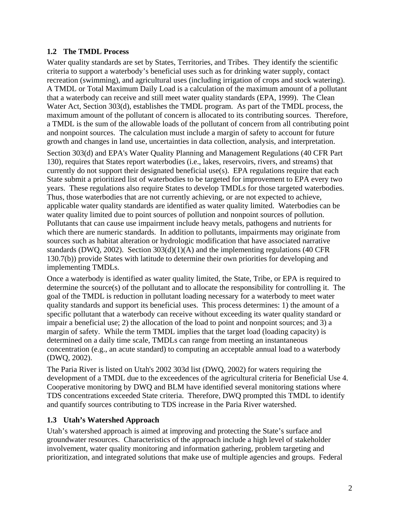## **1.2 The TMDL Process**

Water quality standards are set by States, Territories, and Tribes. They identify the scientific criteria to support a waterbody's beneficial uses such as for drinking water supply, contact recreation (swimming), and agricultural uses (including irrigation of crops and stock watering). A TMDL or Total Maximum Daily Load is a calculation of the maximum amount of a pollutant that a waterbody can receive and still meet water quality standards (EPA, 1999). The Clean Water Act, Section 303(d), establishes the TMDL program. As part of the TMDL process, the maximum amount of the pollutant of concern is allocated to its contributing sources. Therefore, a TMDL is the sum of the allowable loads of the pollutant of concern from all contributing point and nonpoint sources. The calculation must include a margin of safety to account for future growth and changes in land use, uncertainties in data collection, analysis, and interpretation. Section 303(d) and EPA's Water Quality Planning and Management Regulations (40 CFR Part

130), requires that States report waterbodies (i.e., lakes, reservoirs, rivers, and streams) that currently do not support their designated beneficial use(s). EPA regulations require that each State submit a prioritized list of waterbodies to be targeted for improvement to EPA every two years. These regulations also require States to develop TMDLs for those targeted waterbodies. Thus, those waterbodies that are not currently achieving, or are not expected to achieve, applicable water quality standards are identified as water quality limited. Waterbodies can be water quality limited due to point sources of pollution and nonpoint sources of pollution. Pollutants that can cause use impairment include heavy metals, pathogens and nutrients for which there are numeric standards. In addition to pollutants, impairments may originate from sources such as habitat alteration or hydrologic modification that have associated narrative standards (DWQ, 2002). Section 303(d)(1)(A) and the implementing regulations (40 CFR 130.7(b)) provide States with latitude to determine their own priorities for developing and implementing TMDLs.

Once a waterbody is identified as water quality limited, the State, Tribe, or EPA is required to determine the source(s) of the pollutant and to allocate the responsibility for controlling it. The goal of the TMDL is reduction in pollutant loading necessary for a waterbody to meet water quality standards and support its beneficial uses. This process determines: 1) the amount of a specific pollutant that a waterbody can receive without exceeding its water quality standard or impair a beneficial use; 2) the allocation of the load to point and nonpoint sources; and 3) a margin of safety. While the term TMDL implies that the target load (loading capacity) is determined on a daily time scale, TMDLs can range from meeting an instantaneous concentration (e.g., an acute standard) to computing an acceptable annual load to a waterbody (DWQ, 2002).

The Paria River is listed on Utah's 2002 303d list (DWQ, 2002) for waters requiring the development of a TMDL due to the exceedences of the agricultural criteria for Beneficial Use 4. Cooperative monitoring by DWQ and BLM have identified several monitoring stations where TDS concentrations exceeded State criteria. Therefore, DWQ prompted this TMDL to identify and quantify sources contributing to TDS increase in the Paria River watershed.

# **1.3 Utah's Watershed Approach**

Utah's watershed approach is aimed at improving and protecting the State's surface and groundwater resources. Characteristics of the approach include a high level of stakeholder involvement, water quality monitoring and information gathering, problem targeting and prioritization, and integrated solutions that make use of multiple agencies and groups. Federal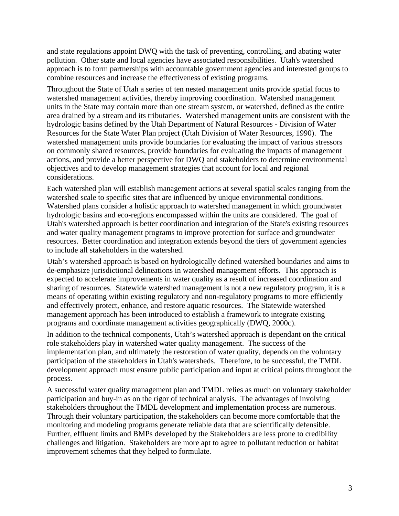and state regulations appoint DWQ with the task of preventing, controlling, and abating water pollution. Other state and local agencies have associated responsibilities. Utah's watershed approach is to form partnerships with accountable government agencies and interested groups to combine resources and increase the effectiveness of existing programs.

Throughout the State of Utah a series of ten nested management units provide spatial focus to watershed management activities, thereby improving coordination. Watershed management units in the State may contain more than one stream system, or watershed, defined as the entire area drained by a stream and its tributaries. Watershed management units are consistent with the hydrologic basins defined by the Utah Department of Natural Resources - Division of Water Resources for the State Water Plan project (Utah Division of Water Resources, 1990). The watershed management units provide boundaries for evaluating the impact of various stressors on commonly shared resources, provide boundaries for evaluating the impacts of management actions, and provide a better perspective for DWQ and stakeholders to determine environmental objectives and to develop management strategies that account for local and regional considerations.

Each watershed plan will establish management actions at several spatial scales ranging from the watershed scale to specific sites that are influenced by unique environmental conditions. Watershed plans consider a holistic approach to watershed management in which groundwater hydrologic basins and eco-regions encompassed within the units are considered. The goal of Utah's watershed approach is better coordination and integration of the State's existing resources and water quality management programs to improve protection for surface and groundwater resources. Better coordination and integration extends beyond the tiers of government agencies to include all stakeholders in the watershed.

Utah's watershed approach is based on hydrologically defined watershed boundaries and aims to de-emphasize jurisdictional delineations in watershed management efforts. This approach is expected to accelerate improvements in water quality as a result of increased coordination and sharing of resources. Statewide watershed management is not a new regulatory program, it is a means of operating within existing regulatory and non-regulatory programs to more efficiently and effectively protect, enhance, and restore aquatic resources. The Statewide watershed management approach has been introduced to establish a framework to integrate existing programs and coordinate management activities geographically (DWQ, 2000c).

In addition to the technical components, Utah's watershed approach is dependant on the critical role stakeholders play in watershed water quality management. The success of the implementation plan, and ultimately the restoration of water quality, depends on the voluntary participation of the stakeholders in Utah's watersheds. Therefore, to be successful, the TMDL development approach must ensure public participation and input at critical points throughout the process.

A successful water quality management plan and TMDL relies as much on voluntary stakeholder participation and buy-in as on the rigor of technical analysis. The advantages of involving stakeholders throughout the TMDL development and implementation process are numerous. Through their voluntary participation, the stakeholders can become more comfortable that the monitoring and modeling programs generate reliable data that are scientifically defensible. Further, effluent limits and BMPs developed by the Stakeholders are less prone to credibility challenges and litigation. Stakeholders are more apt to agree to pollutant reduction or habitat improvement schemes that they helped to formulate.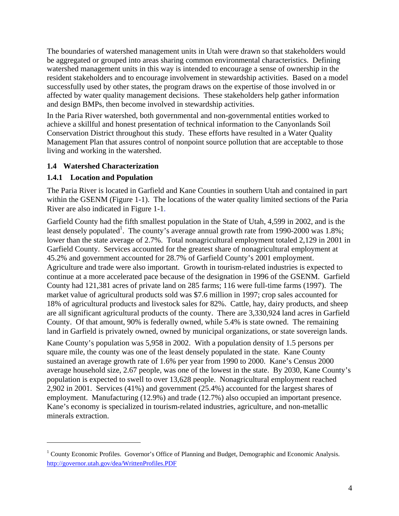The boundaries of watershed management units in Utah were drawn so that stakeholders would be aggregated or grouped into areas sharing common environmental characteristics. Defining watershed management units in this way is intended to encourage a sense of ownership in the resident stakeholders and to encourage involvement in stewardship activities. Based on a model successfully used by other states, the program draws on the expertise of those involved in or affected by water quality management decisions. These stakeholders help gather information and design BMPs, then become involved in stewardship activities.

In the Paria River watershed, both governmental and non-governmental entities worked to achieve a skillful and honest presentation of technical information to the Canyonlands Soil Conservation District throughout this study. These efforts have resulted in a Water Quality Management Plan that assures control of nonpoint source pollution that are acceptable to those living and working in the watershed.

#### **1.4 Watershed Characterization**

#### **1.4.1 Location and Population**

 $\overline{a}$ 

The Paria River is located in Garfield and Kane Counties in southern Utah and contained in part within the GSENM (Figure 1-1). The locations of the water quality limited sections of the Paria River are also indicated in Figure 1-1.

Garfield County had the fifth smallest population in the State of Utah, 4,599 in 2002, and is the least densely populated<sup>1</sup>. The county's average annual growth rate from 1990-2000 was 1.8%; lower than the state average of 2.7%. Total nonagricultural employment totaled 2,129 in 2001 in Garfield County. Services accounted for the greatest share of nonagricultural employment at 45.2% and government accounted for 28.7% of Garfield County's 2001 employment. Agriculture and trade were also important. Growth in tourism-related industries is expected to continue at a more accelerated pace because of the designation in 1996 of the GSENM. Garfield County had 121,381 acres of private land on 285 farms; 116 were full-time farms (1997). The market value of agricultural products sold was \$7.6 million in 1997; crop sales accounted for 18% of agricultural products and livestock sales for 82%. Cattle, hay, dairy products, and sheep are all significant agricultural products of the county. There are 3,330,924 land acres in Garfield County. Of that amount, 90% is federally owned, while 5.4% is state owned. The remaining land in Garfield is privately owned, owned by municipal organizations, or state sovereign lands. Kane County's population was 5,958 in 2002. With a population density of 1.5 persons per square mile, the county was one of the least densely populated in the state. Kane County

sustained an average growth rate of 1.6% per year from 1990 to 2000. Kane's Census 2000 average household size, 2.67 people, was one of the lowest in the state. By 2030, Kane County's population is expected to swell to over 13,628 people. Nonagricultural employment reached 2,902 in 2001. Services (41%) and government (25.4%) accounted for the largest shares of employment. Manufacturing (12.9%) and trade (12.7%) also occupied an important presence. Kane's economy is specialized in tourism-related industries, agriculture, and non-metallic minerals extraction.

<sup>&</sup>lt;sup>1</sup> County Economic Profiles. Governor's Office of Planning and Budget, Demographic and Economic Analysis. http://governor.utah.gov/dea/WrittenProfiles.PDF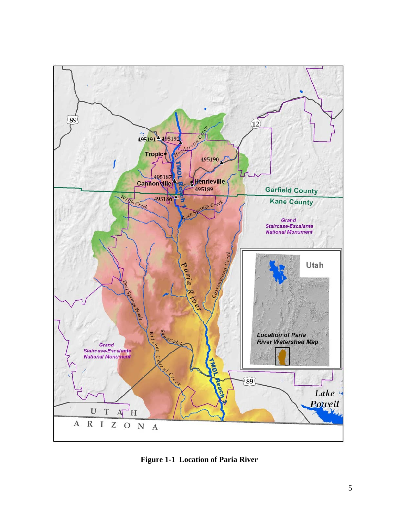

**Figure 1-1 Location of Paria River**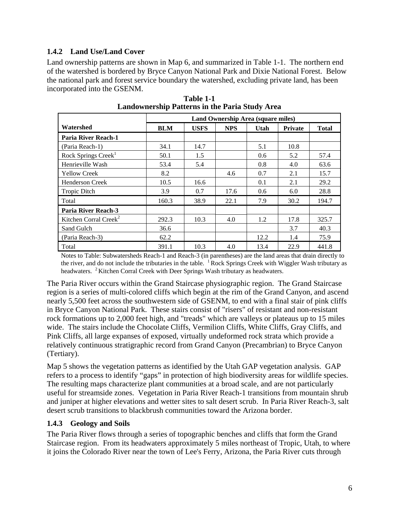## **1.4.2 Land Use/Land Cover**

Land ownership patterns are shown in Map 6, and summarized in Table 1-1. The northern end of the watershed is bordered by Bryce Canyon National Park and Dixie National Forest. Below the national park and forest service boundary the watershed, excluding private land, has been incorporated into the GSENM.

|                                   | Land Ownership Area (square miles) |             |            |      |                |              |  |  |  |
|-----------------------------------|------------------------------------|-------------|------------|------|----------------|--------------|--|--|--|
| Watershed                         | <b>BLM</b>                         | <b>USFS</b> | <b>NPS</b> | Utah | <b>Private</b> | <b>Total</b> |  |  |  |
| <b>Paria River Reach-1</b>        |                                    |             |            |      |                |              |  |  |  |
| (Paria Reach-1)                   | 34.1                               | 14.7        |            | 5.1  | 10.8           |              |  |  |  |
| Rock Springs Creek <sup>1</sup>   | 50.1                               | 1.5         |            | 0.6  | 5.2            | 57.4         |  |  |  |
| Henrieville Wash                  | 53.4                               | 5.4         |            | 0.8  | 4.0            | 63.6         |  |  |  |
| <b>Yellow Creek</b>               | 8.2                                |             | 4.6        | 0.7  | 2.1            | 15.7         |  |  |  |
| <b>Henderson Creek</b>            | 10.5                               | 16.6        |            | 0.1  | 2.1            | 29.2         |  |  |  |
| <b>Tropic Ditch</b>               | 3.9                                | 0.7         | 17.6       | 0.6  | 6.0            | 28.8         |  |  |  |
| Total                             | 160.3                              | 38.9        | 22.1       | 7.9  | 30.2           | 194.7        |  |  |  |
| Paria River Reach-3               |                                    |             |            |      |                |              |  |  |  |
| Kitchen Corral Creek <sup>2</sup> | 292.3                              | 10.3        | 4.0        | 1.2  | 17.8           | 325.7        |  |  |  |
| Sand Gulch                        | 36.6                               |             |            |      | 3.7            | 40.3         |  |  |  |
| (Paria Reach-3)                   | 62.2                               |             |            | 12.2 | 1.4            | 75.9         |  |  |  |
| Total                             | 391.1                              | 10.3        | 4.0        | 13.4 | 22.9           | 441.8        |  |  |  |

**Table 1-1 Landownership Patterns in the Paria Study Area** 

Notes to Table: Subwatersheds Reach-1 and Reach-3 (in parentheses) are the land areas that drain directly to the river, and do not include the tributaries in the table.  $1$  Rock Springs Creek with Wiggler Wash tributary as headwaters. <sup>2</sup> Kitchen Corral Creek with Deer Springs Wash tributary as headwaters.

The Paria River occurs within the Grand Staircase physiographic region. The Grand Staircase region is a series of multi-colored cliffs which begin at the rim of the Grand Canyon, and ascend nearly 5,500 feet across the southwestern side of GSENM, to end with a final stair of pink cliffs in Bryce Canyon National Park. These stairs consist of "risers" of resistant and non-resistant rock formations up to 2,000 feet high, and "treads" which are valleys or plateaus up to 15 miles wide. The stairs include the Chocolate Cliffs, Vermilion Cliffs, White Cliffs, Gray Cliffs, and Pink Cliffs, all large expanses of exposed, virtually undeformed rock strata which provide a relatively continuous stratigraphic record from Grand Canyon (Precambrian) to Bryce Canyon (Tertiary).

Map 5 shows the vegetation patterns as identified by the Utah GAP vegetation analysis. GAP refers to a process to identify "gaps" in protection of high biodiversity areas for wildlife species. The resulting maps characterize plant communities at a broad scale, and are not particularly useful for streamside zones. Vegetation in Paria River Reach-1 transitions from mountain shrub and juniper at higher elevations and wetter sites to salt desert scrub. In Paria River Reach-3, salt desert scrub transitions to blackbrush communities toward the Arizona border.

#### **1.4.3 Geology and Soils**

The Paria River flows through a series of topographic benches and cliffs that form the Grand Staircase region. From its headwaters approximately 5 miles northeast of Tropic, Utah, to where it joins the Colorado River near the town of Lee's Ferry, Arizona, the Paria River cuts through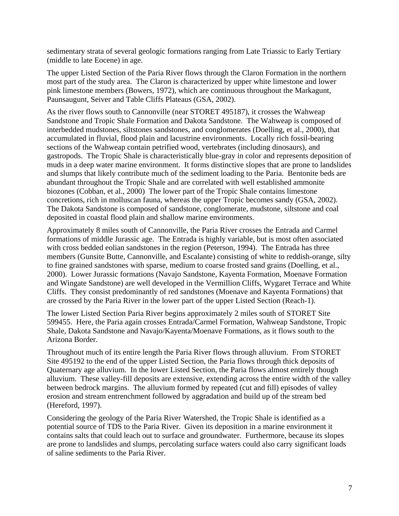sedimentary strata of several geologic formations ranging from Late Triassic to Early Tertiary (middle to late Eocene) in age.

The upper Listed Section of the Paria River flows through the Claron Formation in the northern most part of the study area. The Claron is characterized by upper white limestone and lower pink limestone members (Bowers, 1972), which are continuous throughout the Markagunt, Paunsaugunt, Seiver and Table Cliffs Plateaus (GSA, 2002).

As the river flows south to Cannonville (near STORET 495187), it crosses the Wahweap Sandstone and Tropic Shale Formation and Dakota Sandstone. The Wahweap is composed of interbedded mudstones, siltstones sandstones, and conglomerates (Doelling, et al., 2000), that accumulated in fluvial, flood plain and lacustrine environments. Locally rich fossil-bearing sections of the Wahweap contain petrified wood, vertebrates (including dinosaurs), and gastropods. The Tropic Shale is characteristically blue-gray in color and represents deposition of muds in a deep water marine environment. It forms distinctive slopes that are prone to landslides and slumps that likely contribute much of the sediment loading to the Paria. Bentonite beds are abundant throughout the Tropic Shale and are correlated with well established ammonite biozones (Cobban, et al., 2000) The lower part of the Tropic Shale contains limestone concretions, rich in molluscan fauna, whereas the upper Tropic becomes sandy (GSA, 2002). The Dakota Sandstone is composed of sandstone, conglomerate, mudstone, siltstone and coal deposited in coastal flood plain and shallow marine environments.

Approximately 8 miles south of Cannonville, the Paria River crosses the Entrada and Carmel formations of middle Jurassic age. The Entrada is highly variable, but is most often associated with cross bedded eolian sandstones in the region (Peterson, 1994). The Entrada has three members (Gunsite Butte, Cannonville, and Escalante) consisting of white to reddish-orange, silty to fine grained sandstones with sparse, medium to coarse frosted sand grains (Doelling, et al., 2000). Lower Jurassic formations (Navajo Sandstone, Kayenta Formation, Moenave Formation and Wingate Sandstone) are well developed in the Vermillion Cliffs, Wygaret Terrace and White Cliffs. They consist predominantly of red sandstones (Moenave and Kayenta Formations) that are crossed by the Paria River in the lower part of the upper Listed Section (Reach-1).

The lower Listed Section Paria River begins approximately 2 miles south of STORET Site 599455. Here, the Paria again crosses Entrada/Carmel Formation, Wahweap Sandstone, Tropic Shale, Dakota Sandstone and Navajo/Kayenta/Moenave Formations, as it flows south to the Arizona Border.

Throughout much of its entire length the Paria River flows through alluvium. From STORET Site 495192 to the end of the upper Listed Section, the Paria flows through thick deposits of Quaternary age alluvium. In the lower Listed Section, the Paria flows almost entirely though alluvium. These valley-fill deposits are extensive, extending across the entire width of the valley between bedrock margins. The alluvium formed by repeated (cut and fill) episodes of valley erosion and stream entrenchment followed by aggradation and build up of the stream bed (Hereford, 1997).

Considering the geology of the Paria River Watershed, the Tropic Shale is identified as a potential source of TDS to the Paria River. Given its deposition in a marine environment it contains salts that could leach out to surface and groundwater. Furthermore, because its slopes are prone to landslides and slumps, percolating surface waters could also carry significant loads of saline sediments to the Paria River.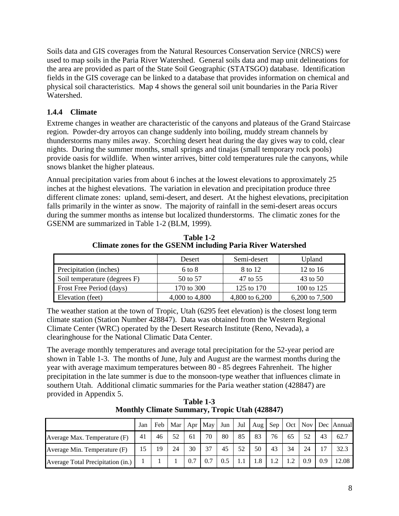Soils data and GIS coverages from the Natural Resources Conservation Service (NRCS) were used to map soils in the Paria River Watershed. General soils data and map unit delineations for the area are provided as part of the State Soil Geographic (STATSGO) database. Identification fields in the GIS coverage can be linked to a database that provides information on chemical and physical soil characteristics. Map 4 shows the general soil unit boundaries in the Paria River Watershed.

#### **1.4.4 Climate**

Extreme changes in weather are characteristic of the canyons and plateaus of the Grand Staircase region. Powder-dry arroyos can change suddenly into boiling, muddy stream channels by thunderstorms many miles away. Scorching desert heat during the day gives way to cold, clear nights. During the summer months, small springs and tinajas (small temporary rock pools) provide oasis for wildlife. When winter arrives, bitter cold temperatures rule the canyons, while snows blanket the higher plateaus.

Annual precipitation varies from about 6 inches at the lowest elevations to approximately 25 inches at the highest elevations. The variation in elevation and precipitation produce three different climate zones: upland, semi-desert, and desert. At the highest elevations, precipitation falls primarily in the winter as snow. The majority of rainfall in the semi-desert areas occurs during the summer months as intense but localized thunderstorms. The climatic zones for the GSENM are summarized in Table 1-2 (BLM, 1999).

|                              | Desert         | Semi-desert    | Upland         |
|------------------------------|----------------|----------------|----------------|
| Precipitation (inches)       | $6$ to $8$     | 8 to 12        | 12 to 16       |
| Soil temperature (degrees F) | 50 to 57       | 47 to 55       | 43 to 50       |
| Frost Free Period (days)     | 170 to 300     | 125 to 170     | 100 to 125     |
| Elevation (feet)             | 4,000 to 4,800 | 4,800 to 6,200 | 6,200 to 7,500 |

**Table 1-2 Climate zones for the GSENM including Paria River Watershed** 

The weather station at the town of Tropic, Utah (6295 feet elevation) is the closest long term climate station (Station Number 428847). Data was obtained from the Western Regional Climate Center (WRC) operated by the Desert Research Institute (Reno, Nevada), a clearinghouse for the National Climatic Data Center.

The average monthly temperatures and average total precipitation for the 52-year period are shown in Table 1-3. The months of June, July and August are the warmest months during the year with average maximum temperatures between 80 - 85 degrees Fahrenheit. The higher precipitation in the late summer is due to the monsoon-type weather that influences climate in southern Utah. Additional climatic summaries for the Paria weather station (428847) are provided in Appendix 5.

**Table 1-3 Monthly Climate Summary, Tropic Utah (428847)** 

|                                   | Jan | Feb | Mar | Apr | May 1 | Jun | Jul | Aug | $Sep \vert$ |     |     |     | Oct   Nov   Dec   Annual |
|-----------------------------------|-----|-----|-----|-----|-------|-----|-----|-----|-------------|-----|-----|-----|--------------------------|
| Average Max. Temperature (F)      | 41  | 46  | 52  | 61  | 70    | 80  | 85  | 83  | 76          | 65  | 52  | 43  | 62.7                     |
| Average Min. Temperature (F)      | 15  | 19  | 24  | 30  | 37    | 45  | 52  | 50  | 43          | 34  | 24  |     | 32.3                     |
| Average Total Precipitation (in.) |     |     |     | 0.7 | 0.7   | 0.5 |     | 1.8 | 1.2         | 1.2 | 0.9 | 0.9 | 12.08                    |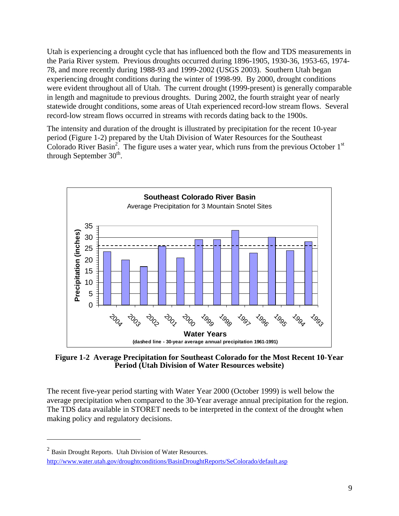Utah is experiencing a drought cycle that has influenced both the flow and TDS measurements in the Paria River system. Previous droughts occurred during 1896-1905, 1930-36, 1953-65, 1974- 78, and more recently during 1988-93 and 1999-2002 (USGS 2003). Southern Utah began experiencing drought conditions during the winter of 1998-99. By 2000, drought conditions were evident throughout all of Utah. The current drought (1999-present) is generally comparable in length and magnitude to previous droughts. During 2002, the fourth straight year of nearly statewide drought conditions, some areas of Utah experienced record-low stream flows. Several record-low stream flows occurred in streams with records dating back to the 1900s.

The intensity and duration of the drought is illustrated by precipitation for the recent 10-year period (Figure 1-2) prepared by the Utah Division of Water Resources for the Southeast Colorado River Basin<sup>2</sup>. The figure uses a water year, which runs from the previous October  $1<sup>st</sup>$ through September  $30<sup>th</sup>$ .



**Figure 1-2 Average Precipitation for Southeast Colorado for the Most Recent 10-Year Period (Utah Division of Water Resources website)** 

The recent five-year period starting with Water Year 2000 (October 1999) is well below the average precipitation when compared to the 30-Year average annual precipitation for the region. The TDS data available in STORET needs to be interpreted in the context of the drought when making policy and regulatory decisions.

<u>.</u>

 $2$  Basin Drought Reports. Utah Division of Water Resources. http://www.water.utah.gov/droughtconditions/BasinDroughtReports/SeColorado/default.asp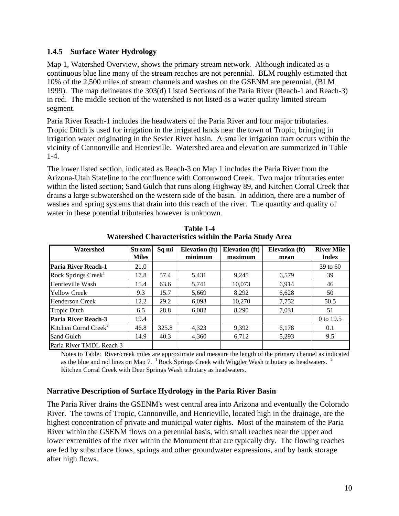#### **1.4.5 Surface Water Hydrology**

Map 1, Watershed Overview, shows the primary stream network. Although indicated as a continuous blue line many of the stream reaches are not perennial. BLM roughly estimated that 10% of the 2,500 miles of stream channels and washes on the GSENM are perennial, (BLM 1999). The map delineates the 303(d) Listed Sections of the Paria River (Reach-1 and Reach-3) in red. The middle section of the watershed is not listed as a water quality limited stream segment.

Paria River Reach-1 includes the headwaters of the Paria River and four major tributaries. Tropic Ditch is used for irrigation in the irrigated lands near the town of Tropic, bringing in irrigation water originating in the Sevier River basin. A smaller irrigation tract occurs within the vicinity of Cannonville and Henrieville. Watershed area and elevation are summarized in Table 1-4.

The lower listed section, indicated as Reach-3 on Map 1 includes the Paria River from the Arizona-Utah Stateline to the confluence with Cottonwood Creek. Two major tributaries enter within the listed section; Sand Gulch that runs along Highway 89, and Kitchen Corral Creek that drains a large subwatershed on the western side of the basin. In addition, there are a number of washes and spring systems that drain into this reach of the river. The quantity and quality of water in these potential tributaries however is unknown.

| Watershed                         | <b>Stream</b><br><b>Miles</b> | Sq mi | <b>Elevation</b> (ft)<br>minimum | <b>Elevation</b> (ft)<br>maximum | <b>Elevation</b> (ft)<br>mean | <b>River Mile</b><br><b>Index</b> |
|-----------------------------------|-------------------------------|-------|----------------------------------|----------------------------------|-------------------------------|-----------------------------------|
| Paria River Reach-1               | 21.0                          |       |                                  |                                  |                               | $39$ to 60                        |
| Rock Springs Creek <sup>1</sup>   | 17.8                          | 57.4  | 5.431                            | 9.245                            | 6.579                         | 39                                |
| Henrieville Wash                  | 15.4                          | 63.6  | 5.741                            | 10,073                           | 6.914                         | 46                                |
| <b>Yellow Creek</b>               | 9.3                           | 15.7  | 5.669                            | 8,292                            | 6,628                         | 50                                |
| <b>Henderson Creek</b>            | 12.2                          | 29.2  | 6.093                            | 10,270                           | 7,752                         | 50.5                              |
| <b>Tropic Ditch</b>               | 6.5                           | 28.8  | 6.082                            | 8,290                            | 7.031                         | 51                                |
| Paria River Reach-3               | 19.4                          |       |                                  |                                  |                               | 0 to 19.5                         |
| Kitchen Corral Creek <sup>2</sup> | 46.8                          | 325.8 | 4.323                            | 9,392                            | 6,178                         | 0.1                               |
| Sand Gulch                        | 14.9                          | 40.3  | 4.360                            | 6,712                            | 5,293                         | 9.5                               |
| Paria River TMDL Reach 3          |                               |       |                                  |                                  |                               |                                   |

**Table 1-4 Watershed Characteristics within the Paria Study Area** 

Notes to Table: River/creek miles are approximate and measure the length of the primary channel as indicated as the blue and red lines on Map 7.  $1$  Rock Springs Creek with Wiggler Wash tributary as headwaters.  $2$ Kitchen Corral Creek with Deer Springs Wash tributary as headwaters.

#### **Narrative Description of Surface Hydrology in the Paria River Basin**

The Paria River drains the GSENM's west central area into Arizona and eventually the Colorado River. The towns of Tropic, Cannonville, and Henrieville, located high in the drainage, are the highest concentration of private and municipal water rights. Most of the mainstem of the Paria River within the GSENM flows on a perennial basis, with small reaches near the upper and lower extremities of the river within the Monument that are typically dry. The flowing reaches are fed by subsurface flows, springs and other groundwater expressions, and by bank storage after high flows.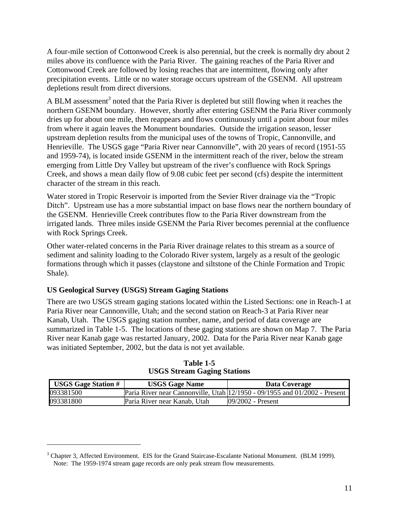A four-mile section of Cottonwood Creek is also perennial, but the creek is normally dry about 2 miles above its confluence with the Paria River. The gaining reaches of the Paria River and Cottonwood Creek are followed by losing reaches that are intermittent, flowing only after precipitation events. Little or no water storage occurs upstream of the GSENM. All upstream depletions result from direct diversions.

A BLM assessment<sup>3</sup> noted that the Paria River is depleted but still flowing when it reaches the northern GSENM boundary. However, shortly after entering GSENM the Paria River commonly dries up for about one mile, then reappears and flows continuously until a point about four miles from where it again leaves the Monument boundaries. Outside the irrigation season, lesser upstream depletion results from the municipal uses of the towns of Tropic, Cannonville, and Henrieville. The USGS gage "Paria River near Cannonville", with 20 years of record (1951-55 and 1959-74), is located inside GSENM in the intermittent reach of the river, below the stream emerging from Little Dry Valley but upstream of the river's confluence with Rock Springs Creek, and shows a mean daily flow of 9.08 cubic feet per second (cfs) despite the intermittent character of the stream in this reach.

Water stored in Tropic Reservoir is imported from the Sevier River drainage via the "Tropic Ditch". Upstream use has a more substantial impact on base flows near the northern boundary of the GSENM. Henrieville Creek contributes flow to the Paria River downstream from the irrigated lands. Three miles inside GSENM the Paria River becomes perennial at the confluence with Rock Springs Creek.

Other water-related concerns in the Paria River drainage relates to this stream as a source of sediment and salinity loading to the Colorado River system, largely as a result of the geologic formations through which it passes (claystone and siltstone of the Chinle Formation and Tropic Shale).

# **US Geological Survey (USGS) Stream Gaging Stations**

 $\overline{a}$ 

There are two USGS stream gaging stations located within the Listed Sections: one in Reach-1 at Paria River near Cannonville, Utah; and the second station on Reach-3 at Paria River near Kanab, Utah. The USGS gaging station number, name, and period of data coverage are summarized in Table 1-5. The locations of these gaging stations are shown on Map 7. The Paria River near Kanab gage was restarted January, 2002. Data for the Paria River near Kanab gage was initiated September, 2002, but the data is not yet available.

| <b>USGS Gage Station #</b> | <b>USGS Gage Name</b>        | Data Coverage                                                                   |
|----------------------------|------------------------------|---------------------------------------------------------------------------------|
| 093381500                  |                              | Paria River near Cannonville, Utah $ 12/1950 - 09/1955$ and $01/2002$ - Present |
| 093381800                  | Paria River near Kanab, Utah | $109/2002$ - Present                                                            |

**Table 1-5 USGS Stream Gaging Stations** 

<sup>&</sup>lt;sup>3</sup> Chapter 3, Affected Environment. EIS for the Grand Staircase-Escalante National Monument. (BLM 1999). Note: The 1959-1974 stream gage records are only peak stream flow measurements.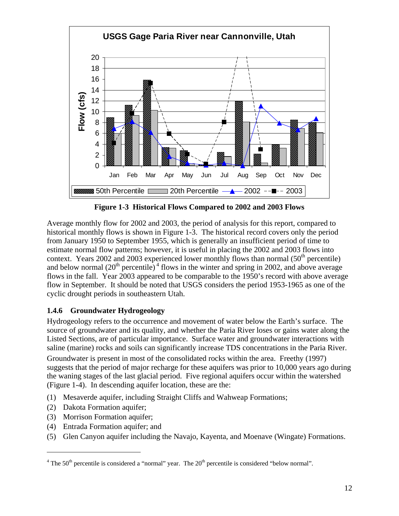

**Figure 1-3 Historical Flows Compared to 2002 and 2003 Flows** 

Average monthly flow for 2002 and 2003, the period of analysis for this report, compared to historical monthly flows is shown in Figure 1-3. The historical record covers only the period from January 1950 to September 1955, which is generally an insufficient period of time to estimate normal flow patterns; however, it is useful in placing the 2002 and 2003 flows into context. Years 2002 and 2003 experienced lower monthly flows than normal  $(50<sup>th</sup>$  percentile) and below normal  $(20<sup>th</sup>$  percentile)<sup>4</sup> flows in the winter and spring in 2002, and above average flows in the fall. Year 2003 appeared to be comparable to the 1950's record with above average flow in September. It should be noted that USGS considers the period 1953-1965 as one of the cyclic drought periods in southeastern Utah.

# **1.4.6 Groundwater Hydrogeology**

Hydrogeology refers to the occurrence and movement of water below the Earth's surface. The source of groundwater and its quality, and whether the Paria River loses or gains water along the Listed Sections, are of particular importance. Surface water and groundwater interactions with saline (marine) rocks and soils can significantly increase TDS concentrations in the Paria River.

Groundwater is present in most of the consolidated rocks within the area. Freethy (1997) suggests that the period of major recharge for these aquifers was prior to 10,000 years ago during the waning stages of the last glacial period. Five regional aquifers occur within the watershed (Figure 1-4). In descending aquifer location, these are the:

- (1) Mesaverde aquifer, including Straight Cliffs and Wahweap Formations;
- (2) Dakota Formation aquifer;

<u>.</u>

- (3) Morrison Formation aquifer;
- (4) Entrada Formation aquifer; and
- (5) Glen Canyon aquifer including the Navajo, Kayenta, and Moenave (Wingate) Formations.

<sup>&</sup>lt;sup>4</sup> The 50<sup>th</sup> percentile is considered a "normal" year. The  $20<sup>th</sup>$  percentile is considered "below normal".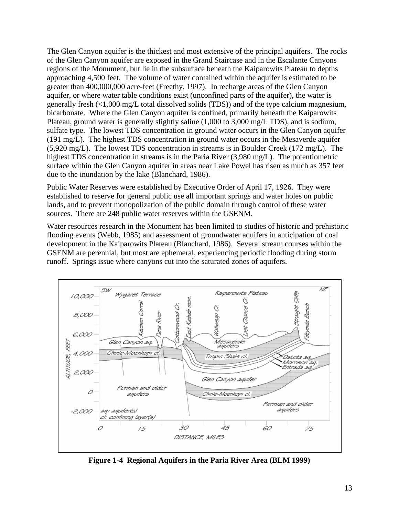The Glen Canyon aquifer is the thickest and most extensive of the principal aquifers. The rocks of the Glen Canyon aquifer are exposed in the Grand Staircase and in the Escalante Canyons regions of the Monument, but lie in the subsurface beneath the Kaiparowits Plateau to depths approaching 4,500 feet. The volume of water contained within the aquifer is estimated to be greater than 400,000,000 acre-feet (Freethy, 1997). In recharge areas of the Glen Canyon aquifer, or where water table conditions exist (unconfined parts of the aquifer), the water is generally fresh (<1,000 mg/L total dissolved solids (TDS)) and of the type calcium magnesium, bicarbonate. Where the Glen Canyon aquifer is confined, primarily beneath the Kaiparowits Plateau, ground water is generally slightly saline (1,000 to 3,000 mg/L TDS), and is sodium, sulfate type. The lowest TDS concentration in ground water occurs in the Glen Canyon aquifer (191 mg/L). The highest TDS concentration in ground water occurs in the Mesaverde aquifer (5,920 mg/L). The lowest TDS concentration in streams is in Boulder Creek (172 mg/L). The highest TDS concentration in streams is in the Paria River (3,980 mg/L). The potentiometric surface within the Glen Canyon aquifer in areas near Lake Powel has risen as much as 357 feet due to the inundation by the lake (Blanchard, 1986).

Public Water Reserves were established by Executive Order of April 17, 1926. They were established to reserve for general public use all important springs and water holes on public lands, and to prevent monopolization of the public domain through control of these water sources. There are 248 public water reserves within the GSENM.

Water resources research in the Monument has been limited to studies of historic and prehistoric flooding events (Webb, 1985) and assessment of groundwater aquifers in anticipation of coal development in the Kaiparowits Plateau (Blanchard, 1986). Several stream courses within the GSENM are perennial, but most are ephemeral, experiencing periodic flooding during storm runoff. Springs issue where canyons cut into the saturated zones of aquifers.



**Figure 1-4 Regional Aquifers in the Paria River Area (BLM 1999)**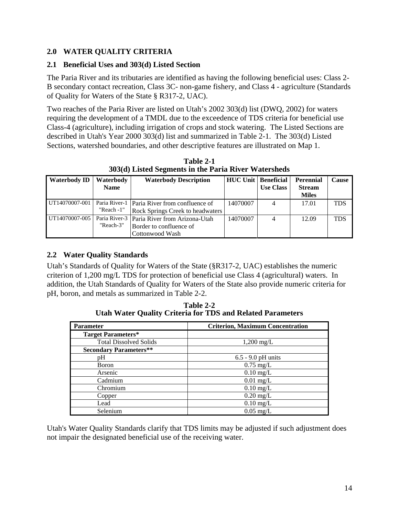# **2.0 WATER QUALITY CRITERIA**

#### **2.1 Beneficial Uses and 303(d) Listed Section**

The Paria River and its tributaries are identified as having the following beneficial uses: Class 2- B secondary contact recreation, Class 3C- non-game fishery, and Class 4 - agriculture (Standards of Quality for Waters of the State § R317-2, UAC).

Two reaches of the Paria River are listed on Utah's 2002 303(d) list (DWQ, 2002) for waters requiring the development of a TMDL due to the exceedence of TDS criteria for beneficial use Class-4 (agriculture), including irrigation of crops and stock watering. The Listed Sections are described in Utah's Year 2000 303(d) list and summarized in Table 2-1. The 303(d) Listed Sections, watershed boundaries, and other descriptive features are illustrated on Map 1.

| <b>Waterbody ID</b> | Waterbody<br><b>Name</b>    | <b>Waterbody Description</b>                                                                | <b>HUC Unit   Beneficial</b> | <b>Use Class</b> | <b>Perennial</b><br><b>Stream</b><br><b>Miles</b> | Cause      |
|---------------------|-----------------------------|---------------------------------------------------------------------------------------------|------------------------------|------------------|---------------------------------------------------|------------|
| UT14070007-001      | Paria River-1<br>"Reach -1" | Paria River from confluence of<br><b>Rock Springs Creek to headwaters</b>                   | 14070007                     |                  | 17.01                                             | <b>TDS</b> |
| UT14070007-005      | "Reach-3"                   | Paria River-3   Paria River from Arizona-Utah<br>Border to confluence of<br>Cottonwood Wash | 14070007                     |                  | 12.09                                             | <b>TDS</b> |

**Table 2-1 303(d) Listed Segments in the Paria River Watersheds** 

# **2.2 Water Quality Standards**

Utah's Standards of Quality for Waters of the State (§R317-2, UAC) establishes the numeric criterion of 1,200 mg/L TDS for protection of beneficial use Class 4 (agricultural) waters. In addition, the Utah Standards of Quality for Waters of the State also provide numeric criteria for pH, boron, and metals as summarized in Table 2-2.

**Table 2-2 Utah Water Quality Criteria for TDS and Related Parameters** 

| <b>Parameter</b>              | <b>Criterion, Maximum Concentration</b> |
|-------------------------------|-----------------------------------------|
| <b>Target Parameters*</b>     |                                         |
| <b>Total Dissolved Solids</b> | $1,200 \text{ mg/L}$                    |
| <b>Secondary Parameters**</b> |                                         |
| pH                            | $6.5 - 9.0$ pH units                    |
| Boron                         | $0.75 \text{ mg/L}$                     |
| Arsenic                       | $0.10 \text{ mg/L}$                     |
| Cadmium                       | $0.01$ mg/L                             |
| Chromium                      | $0.10$ mg/L                             |
| Copper                        | $0.20$ mg/L                             |
| Lead                          | $0.10 \text{ mg/L}$                     |
| Selenium                      | $0.05$ mg/L                             |

Utah's Water Quality Standards clarify that TDS limits may be adjusted if such adjustment does not impair the designated beneficial use of the receiving water.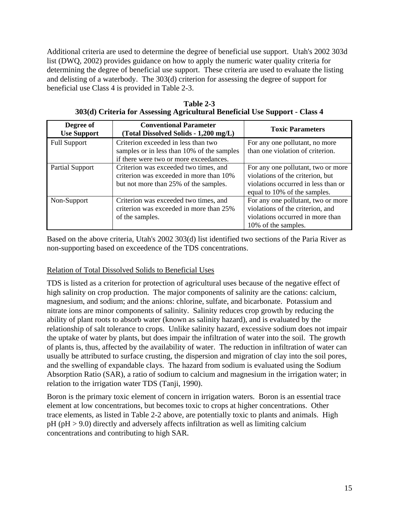Additional criteria are used to determine the degree of beneficial use support. Utah's 2002 303d list (DWQ, 2002) provides guidance on how to apply the numeric water quality criteria for determining the degree of beneficial use support. These criteria are used to evaluate the listing and delisting of a waterbody. The 303(d) criterion for assessing the degree of support for beneficial use Class 4 is provided in Table 2-3.

| Degree of<br><b>Use Support</b> | <b>Conventional Parameter</b><br>(Total Dissolved Solids - 1,200 mg/L)                                                      | <b>Toxic Parameters</b>                                                                                                                       |
|---------------------------------|-----------------------------------------------------------------------------------------------------------------------------|-----------------------------------------------------------------------------------------------------------------------------------------------|
| <b>Full Support</b>             | Criterion exceeded in less than two<br>samples or in less than 10% of the samples<br>if there were two or more exceedances. | For any one pollutant, no more<br>than one violation of criterion.                                                                            |
| Partial Support                 | Criterion was exceeded two times, and<br>criterion was exceeded in more than 10%<br>but not more than 25% of the samples.   | For any one pollutant, two or more<br>violations of the criterion, but<br>violations occurred in less than or<br>equal to 10% of the samples. |
| Non-Support                     | Criterion was exceeded two times, and<br>criterion was exceeded in more than 25%<br>of the samples.                         | For any one pollutant, two or more<br>violations of the criterion, and<br>violations occurred in more than<br>10% of the samples.             |

**Table 2-3 303(d) Criteria for Assessing Agricultural Beneficial Use Support - Class 4** 

Based on the above criteria, Utah's 2002 303(d) list identified two sections of the Paria River as non-supporting based on exceedence of the TDS concentrations.

# Relation of Total Dissolved Solids to Beneficial Uses

TDS is listed as a criterion for protection of agricultural uses because of the negative effect of high salinity on crop production. The major components of salinity are the cations: calcium, magnesium, and sodium; and the anions: chlorine, sulfate, and bicarbonate. Potassium and nitrate ions are minor components of salinity. Salinity reduces crop growth by reducing the ability of plant roots to absorb water (known as salinity hazard), and is evaluated by the relationship of salt tolerance to crops. Unlike salinity hazard, excessive sodium does not impair the uptake of water by plants, but does impair the infiltration of water into the soil. The growth of plants is, thus, affected by the availability of water. The reduction in infiltration of water can usually be attributed to surface crusting, the dispersion and migration of clay into the soil pores, and the swelling of expandable clays. The hazard from sodium is evaluated using the Sodium Absorption Ratio (SAR), a ratio of sodium to calcium and magnesium in the irrigation water; in relation to the irrigation water TDS (Tanji, 1990).

Boron is the primary toxic element of concern in irrigation waters. Boron is an essential trace element at low concentrations, but becomes toxic to crops at higher concentrations. Other trace elements, as listed in Table 2-2 above, are potentially toxic to plants and animals. High pH (pH > 9.0) directly and adversely affects infiltration as well as limiting calcium concentrations and contributing to high SAR.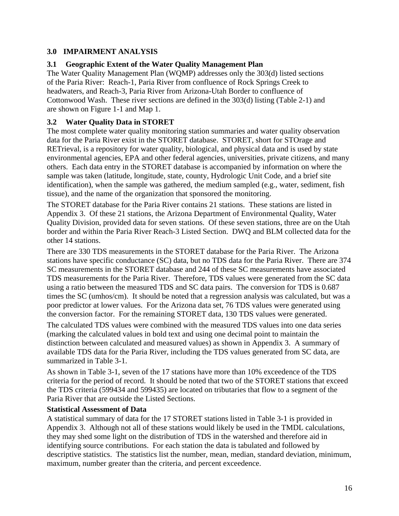# **3.0 IMPAIRMENT ANALYSIS**

#### **3.1 Geographic Extent of the Water Quality Management Plan**

The Water Quality Management Plan (WQMP) addresses only the 303(d) listed sections of the Paria River: Reach-1, Paria River from confluence of Rock Springs Creek to headwaters, and Reach-3, Paria River from Arizona-Utah Border to confluence of Cottonwood Wash. These river sections are defined in the 303(d) listing (Table 2-1) and are shown on Figure 1-1 and Map 1.

#### **3.2 Water Quality Data in STORET**

The most complete water quality monitoring station summaries and water quality observation data for the Paria River exist in the STORET database. STORET, short for STOrage and RETrieval, is a repository for water quality, biological, and physical data and is used by state environmental agencies, EPA and other federal agencies, universities, private citizens, and many others. Each data entry in the STORET database is accompanied by information on where the sample was taken (latitude, longitude, state, county, Hydrologic Unit Code, and a brief site identification), when the sample was gathered, the medium sampled (e.g., water, sediment, fish tissue), and the name of the organization that sponsored the monitoring.

The STORET database for the Paria River contains 21 stations. These stations are listed in Appendix 3. Of these 21 stations, the Arizona Department of Environmental Quality, Water Quality Division, provided data for seven stations. Of these seven stations, three are on the Utah border and within the Paria River Reach-3 Listed Section. DWQ and BLM collected data for the other 14 stations.

There are 330 TDS measurements in the STORET database for the Paria River. The Arizona stations have specific conductance (SC) data, but no TDS data for the Paria River. There are 374 SC measurements in the STORET database and 244 of these SC measurements have associated TDS measurements for the Paria River. Therefore, TDS values were generated from the SC data using a ratio between the measured TDS and SC data pairs. The conversion for TDS is 0.687 times the SC (umhos/cm). It should be noted that a regression analysis was calculated, but was a poor predictor at lower values. For the Arizona data set, 76 TDS values were generated using the conversion factor. For the remaining STORET data, 130 TDS values were generated.

The calculated TDS values were combined with the measured TDS values into one data series (marking the calculated values in bold text and using one decimal point to maintain the distinction between calculated and measured values) as shown in Appendix 3. A summary of available TDS data for the Paria River, including the TDS values generated from SC data, are summarized in Table 3-1.

As shown in Table 3-1, seven of the 17 stations have more than 10% exceedence of the TDS criteria for the period of record. It should be noted that two of the STORET stations that exceed the TDS criteria (599434 and 599435) are located on tributaries that flow to a segment of the Paria River that are outside the Listed Sections.

#### **Statistical Assessment of Data**

A statistical summary of data for the 17 STORET stations listed in Table 3-1 is provided in Appendix 3. Although not all of these stations would likely be used in the TMDL calculations, they may shed some light on the distribution of TDS in the watershed and therefore aid in identifying source contributions. For each station the data is tabulated and followed by descriptive statistics. The statistics list the number, mean, median, standard deviation, minimum, maximum, number greater than the criteria, and percent exceedence.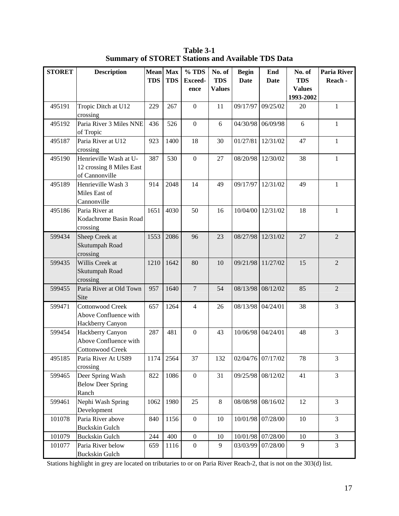| <b>STORET</b> | <b>Description</b>                                                   | Mean Max   |            | % TDS                  | No. of                      | <b>Begin</b> | End               | No. of                                   | <b>Paria River</b> |
|---------------|----------------------------------------------------------------------|------------|------------|------------------------|-----------------------------|--------------|-------------------|------------------------------------------|--------------------|
|               |                                                                      | <b>TDS</b> | <b>TDS</b> | <b>Exceed-</b><br>ence | <b>TDS</b><br><b>Values</b> | <b>Date</b>  | <b>Date</b>       | <b>TDS</b><br><b>Values</b><br>1993-2002 | Reach -            |
| 495191        | Tropic Ditch at U12<br>crossing                                      | 229        | 267        | $\boldsymbol{0}$       | 11                          | 09/17/97     | 09/25/02          | 20                                       | $\mathbf{1}$       |
| 495192        | Paria River 3 Miles NNE<br>of Tropic                                 | 436        | 526        | $\boldsymbol{0}$       | 6                           | 04/30/98     | 06/09/98          | 6                                        | $\mathbf{1}$       |
| 495187        | Paria River at U12<br>crossing                                       | 923        | 1400       | 18                     | 30                          | 01/27/81     | 12/31/02          | 47                                       | $\mathbf{1}$       |
| 495190        | Henrieville Wash at U-<br>12 crossing 8 Miles East<br>of Cannonville | 387        | 530        | $\boldsymbol{0}$       | 27                          | 08/20/98     | 12/30/02          | 38                                       | $\mathbf{1}$       |
| 495189        | Henrieville Wash 3<br>Miles East of<br>Cannonville                   | 914        | 2048       | 14                     | 49                          | 09/17/97     | 12/31/02          | 49                                       | 1                  |
| 495186        | Paria River at<br>Kodachrome Basin Road<br>crossing                  | 1651       | 4030       | 50                     | 16                          | 10/04/00     | 12/31/02          | 18                                       | $\mathbf{1}$       |
| 599434        | Sheep Creek at<br>Skutumpah Road<br>crossing                         | 1553       | 2086       | 96                     | 23                          | 08/27/98     | 12/31/02          | 27                                       | $\overline{2}$     |
| 599435        | Willis Creek at<br>Skutumpah Road<br>crossing                        | 1210       | 1642       | 80                     | 10                          | 09/21/98     | 11/27/02          | 15                                       | $\overline{2}$     |
| 599455        | Paria River at Old Town<br>Site                                      | 957        | 1640       | $\overline{7}$         | 54                          | 08/13/98     | 08/12/02          | 85                                       | $\overline{2}$     |
| 599471        | <b>Cottonwood Creek</b><br>Above Confluence with<br>Hackberry Canyon | 657        | 1264       | $\overline{4}$         | 26                          | 08/13/98     | 04/24/01          | 38                                       | 3                  |
| 599454        | Hackberry Canyon<br>Above Confluence with<br><b>Cottonwood Creek</b> | 287        | 481        | $\boldsymbol{0}$       | 43                          | 10/06/98     | 04/24/01          | 48                                       | 3                  |
| 495185        | Paria River At US89<br>crossing                                      | 1174       | 2564       | 37                     | 132                         |              | 02/04/76 07/17/02 | 78                                       | 3                  |
| 599465        | Deer Spring Wash<br><b>Below Deer Spring</b><br>Ranch                | 822        | 1086       | $\boldsymbol{0}$       | 31                          |              | 09/25/98 08/12/02 | 41                                       | 3                  |
| 599461        | Nephi Wash Spring<br>Development                                     | 1062       | 1980       | 25                     | $\,8\,$                     | 08/08/98     | 08/16/02          | 12                                       | 3                  |
| 101078        | Paria River above<br><b>Buckskin Gulch</b>                           | 840        | 1156       | $\boldsymbol{0}$       | 10                          | 10/01/98     | 07/28/00          | 10                                       | 3                  |
| 101079        | <b>Buckskin Gulch</b>                                                | 244        | 400        | $\boldsymbol{0}$       | 10                          | 10/01/98     | 07/28/00          | 10                                       | $\mathfrak{Z}$     |
| 101077        | Paria River below<br><b>Buckskin Gulch</b>                           | 659        | 1116       | $\boldsymbol{0}$       | 9                           | 03/03/99     | 07/28/00          | 9                                        | 3                  |

**Table 3-1 Summary of STORET Stations and Available TDS Data** 

Stations highlight in grey are located on tributaries to or on Paria River Reach-2, that is not on the 303(d) list.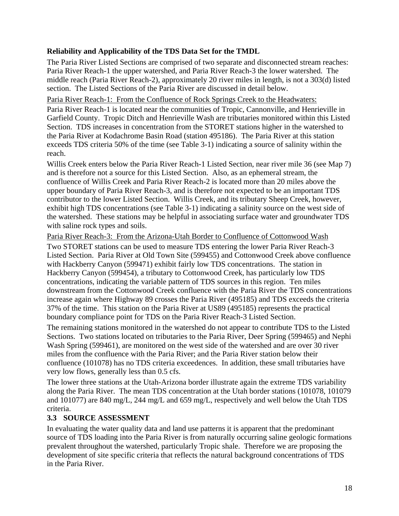#### **Reliability and Applicability of the TDS Data Set for the TMDL**

The Paria River Listed Sections are comprised of two separate and disconnected stream reaches: Paria River Reach-1 the upper watershed, and Paria River Reach-3 the lower watershed. The middle reach (Paria River Reach-2), approximately 20 river miles in length, is not a 303(d) listed section. The Listed Sections of the Paria River are discussed in detail below.

Paria River Reach-1: From the Confluence of Rock Springs Creek to the Headwaters:

Paria River Reach-1 is located near the communities of Tropic, Cannonville, and Henrieville in Garfield County. Tropic Ditch and Henrieville Wash are tributaries monitored within this Listed Section. TDS increases in concentration from the STORET stations higher in the watershed to the Paria River at Kodachrome Basin Road (station 495186). The Paria River at this station exceeds TDS criteria 50% of the time (see Table 3-1) indicating a source of salinity within the reach.

Willis Creek enters below the Paria River Reach-1 Listed Section, near river mile 36 (see Map 7) and is therefore not a source for this Listed Section. Also, as an ephemeral stream, the confluence of Willis Creek and Paria River Reach-2 is located more than 20 miles above the upper boundary of Paria River Reach-3, and is therefore not expected to be an important TDS contributor to the lower Listed Section. Willis Creek, and its tributary Sheep Creek, however, exhibit high TDS concentrations (see Table 3-1) indicating a salinity source on the west side of the watershed. These stations may be helpful in associating surface water and groundwater TDS with saline rock types and soils.

Paria River Reach-3: From the Arizona-Utah Border to Confluence of Cottonwood Wash

Two STORET stations can be used to measure TDS entering the lower Paria River Reach-3 Listed Section. Paria River at Old Town Site (599455) and Cottonwood Creek above confluence with Hackberry Canyon (599471) exhibit fairly low TDS concentrations. The station in Hackberry Canyon (599454), a tributary to Cottonwood Creek, has particularly low TDS concentrations, indicating the variable pattern of TDS sources in this region. Ten miles downstream from the Cottonwood Creek confluence with the Paria River the TDS concentrations increase again where Highway 89 crosses the Paria River (495185) and TDS exceeds the criteria 37% of the time. This station on the Paria River at US89 (495185) represents the practical boundary compliance point for TDS on the Paria River Reach-3 Listed Section.

The remaining stations monitored in the watershed do not appear to contribute TDS to the Listed Sections. Two stations located on tributaries to the Paria River, Deer Spring (599465) and Nephi Wash Spring (599461), are monitored on the west side of the watershed and are over 30 river miles from the confluence with the Paria River; and the Paria River station below their confluence (101078) has no TDS criteria exceedences. In addition, these small tributaries have very low flows, generally less than 0.5 cfs.

The lower three stations at the Utah-Arizona border illustrate again the extreme TDS variability along the Paria River. The mean TDS concentration at the Utah border stations (101078, 101079 and 101077) are 840 mg/L, 244 mg/L and 659 mg/L, respectively and well below the Utah TDS criteria.

#### **3.3 SOURCE ASSESSMENT**

In evaluating the water quality data and land use patterns it is apparent that the predominant source of TDS loading into the Paria River is from naturally occurring saline geologic formations prevalent throughout the watershed, particularly Tropic shale. Therefore we are proposing the development of site specific criteria that reflects the natural background concentrations of TDS in the Paria River.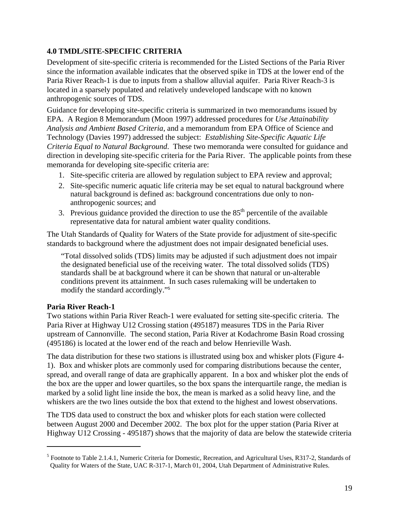#### **4.0 TMDL/SITE-SPECIFIC CRITERIA**

Development of site-specific criteria is recommended for the Listed Sections of the Paria River since the information available indicates that the observed spike in TDS at the lower end of the Paria River Reach-1 is due to inputs from a shallow alluvial aquifer. Paria River Reach-3 is located in a sparsely populated and relatively undeveloped landscape with no known anthropogenic sources of TDS.

Guidance for developing site-specific criteria is summarized in two memorandums issued by EPA. A Region 8 Memorandum (Moon 1997) addressed procedures for *Use Attainability Analysis and Ambient Based Criteria*, and a memorandum from EPA Office of Science and Technology (Davies 1997) addressed the subject: *Establishing Site-Specific Aquatic Life Criteria Equal to Natural Background*. These two memoranda were consulted for guidance and direction in developing site-specific criteria for the Paria River. The applicable points from these memoranda for developing site-specific criteria are:

- 1. Site-specific criteria are allowed by regulation subject to EPA review and approval;
- 2. Site-specific numeric aquatic life criteria may be set equal to natural background where natural background is defined as: background concentrations due only to nonanthropogenic sources; and
- 3. Previous guidance provided the direction to use the  $85<sup>th</sup>$  percentile of the available representative data for natural ambient water quality conditions.

The Utah Standards of Quality for Waters of the State provide for adjustment of site-specific standards to background where the adjustment does not impair designated beneficial uses.

"Total dissolved solids (TDS) limits may be adjusted if such adjustment does not impair the designated beneficial use of the receiving water. The total dissolved solids (TDS) standards shall be at background where it can be shown that natural or un-alterable conditions prevent its attainment. In such cases rulemaking will be undertaken to modify the standard accordingly."<sup>5</sup>

#### **Paria River Reach-1**

 $\overline{a}$ 

Two stations within Paria River Reach-1 were evaluated for setting site-specific criteria. The Paria River at Highway U12 Crossing station (495187) measures TDS in the Paria River upstream of Cannonville. The second station, Paria River at Kodachrome Basin Road crossing (495186) is located at the lower end of the reach and below Henrieville Wash.

The data distribution for these two stations is illustrated using box and whisker plots (Figure 4- 1). Box and whisker plots are commonly used for comparing distributions because the center, spread, and overall range of data are graphically apparent. In a box and whisker plot the ends of the box are the upper and lower quartiles, so the box spans the interquartile range, the median is marked by a solid light line inside the box, the mean is marked as a solid heavy line, and the whiskers are the two lines outside the box that extend to the highest and lowest observations.

The TDS data used to construct the box and whisker plots for each station were collected between August 2000 and December 2002. The box plot for the upper station (Paria River at Highway U12 Crossing - 495187) shows that the majority of data are below the statewide criteria

<sup>&</sup>lt;sup>5</sup> Footnote to Table 2.1.4.1, Numeric Criteria for Domestic, Recreation, and Agricultural Uses, R317-2, Standards of Quality for Waters of the State, UAC R-317-1, March 01, 2004, Utah Department of Administrative Rules.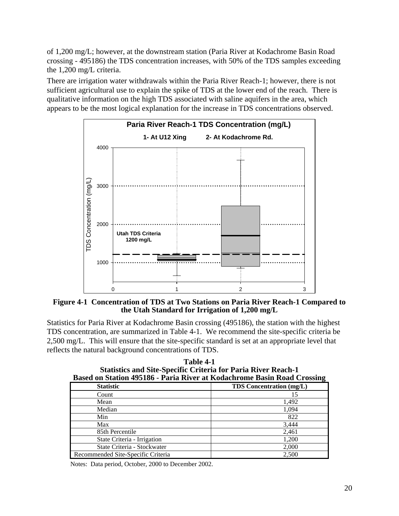of 1,200 mg/L; however, at the downstream station (Paria River at Kodachrome Basin Road crossing - 495186) the TDS concentration increases, with 50% of the TDS samples exceeding the 1,200 mg/L criteria.

There are irrigation water withdrawals within the Paria River Reach-1; however, there is not sufficient agricultural use to explain the spike of TDS at the lower end of the reach. There is qualitative information on the high TDS associated with saline aquifers in the area, which appears to be the most logical explanation for the increase in TDS concentrations observed.



**Figure 4-1 Concentration of TDS at Two Stations on Paria River Reach-1 Compared to the Utah Standard for Irrigation of 1,200 mg/L** 

Statistics for Paria River at Kodachrome Basin crossing (495186), the station with the highest TDS concentration, are summarized in Table 4-1. We recommend the site-specific criteria be 2,500 mg/L. This will ensure that the site-specific standard is set at an appropriate level that reflects the natural background concentrations of TDS.

| таріе 4-т<br><b>Statistics and Site-Specific Criteria for Paria River Reach-1</b><br>Based on Station 495186 - Paria River at Kodachrome Basin Road Crossing |                                 |  |  |  |  |
|--------------------------------------------------------------------------------------------------------------------------------------------------------------|---------------------------------|--|--|--|--|
| <b>Statistic</b>                                                                                                                                             | <b>TDS</b> Concentration (mg/L) |  |  |  |  |
| Count                                                                                                                                                        | 15                              |  |  |  |  |
| Mean                                                                                                                                                         | 1,492                           |  |  |  |  |
| Median                                                                                                                                                       | 1,094                           |  |  |  |  |
| Min                                                                                                                                                          | 822                             |  |  |  |  |
| Max                                                                                                                                                          | 3,444                           |  |  |  |  |
| 85th Percentile                                                                                                                                              | 2,461                           |  |  |  |  |
| State Criteria - Irrigation                                                                                                                                  | 1,200                           |  |  |  |  |
| State Criteria - Stockwater                                                                                                                                  | 2,000                           |  |  |  |  |
| 2,500<br>Recommended Site-Specific Criteria                                                                                                                  |                                 |  |  |  |  |

**Table 4-1** 

Notes: Data period, October, 2000 to December 2002.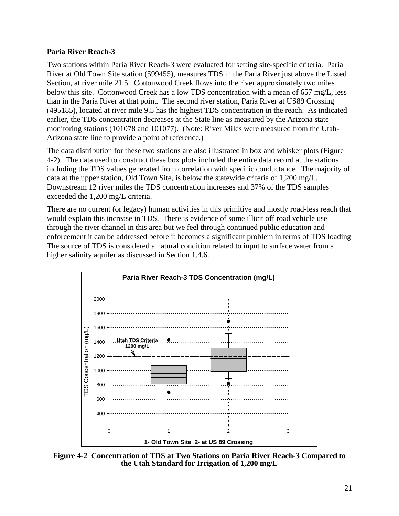#### **Paria River Reach-3**

Two stations within Paria River Reach-3 were evaluated for setting site-specific criteria. Paria River at Old Town Site station (599455), measures TDS in the Paria River just above the Listed Section, at river mile 21.5. Cottonwood Creek flows into the river approximately two miles below this site. Cottonwood Creek has a low TDS concentration with a mean of 657 mg/L, less than in the Paria River at that point. The second river station, Paria River at US89 Crossing (495185), located at river mile 9.5 has the highest TDS concentration in the reach. As indicated earlier, the TDS concentration decreases at the State line as measured by the Arizona state monitoring stations (101078 and 101077). (Note: River Miles were measured from the Utah-Arizona state line to provide a point of reference.)

The data distribution for these two stations are also illustrated in box and whisker plots (Figure 4-2). The data used to construct these box plots included the entire data record at the stations including the TDS values generated from correlation with specific conductance. The majority of data at the upper station, Old Town Site, is below the statewide criteria of 1,200 mg/L. Downstream 12 river miles the TDS concentration increases and 37% of the TDS samples exceeded the 1,200 mg/L criteria.

There are no current (or legacy) human activities in this primitive and mostly road-less reach that would explain this increase in TDS. There is evidence of some illicit off road vehicle use through the river channel in this area but we feel through continued public education and enforcement it can be addressed before it becomes a significant problem in terms of TDS loading The source of TDS is considered a natural condition related to input to surface water from a higher salinity aquifer as discussed in Section 1.4.6.



**Figure 4-2 Concentration of TDS at Two Stations on Paria River Reach-3 Compared to the Utah Standard for Irrigation of 1,200 mg/L**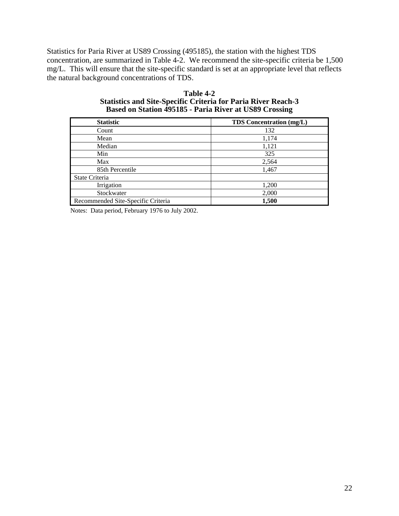Statistics for Paria River at US89 Crossing (495185), the station with the highest TDS concentration, are summarized in Table 4-2. We recommend the site-specific criteria be 1,500 mg/L. This will ensure that the site-specific standard is set at an appropriate level that reflects the natural background concentrations of TDS.

| Table 4-2                                                            |
|----------------------------------------------------------------------|
| <b>Statistics and Site-Specific Criteria for Paria River Reach-3</b> |
| Based on Station 495185 - Paria River at US89 Crossing               |

| <b>Statistic</b>                   | <b>TDS</b> Concentration (mg/L) |
|------------------------------------|---------------------------------|
| Count                              | 132                             |
| Mean                               | 1,174                           |
| Median                             | 1,121                           |
| Min                                | 325                             |
| Max                                | 2,564                           |
| 85th Percentile                    | 1,467                           |
| State Criteria                     |                                 |
| Irrigation                         | 1,200                           |
| Stockwater                         | 2,000                           |
| Recommended Site-Specific Criteria | 1,500                           |

Notes: Data period, February 1976 to July 2002.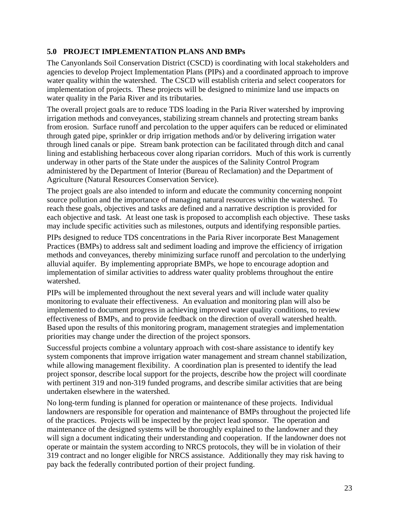#### **5.0 PROJECT IMPLEMENTATION PLANS AND BMPs**

The Canyonlands Soil Conservation District (CSCD) is coordinating with local stakeholders and agencies to develop Project Implementation Plans (PIPs) and a coordinated approach to improve water quality within the watershed. The CSCD will establish criteria and select cooperators for implementation of projects. These projects will be designed to minimize land use impacts on water quality in the Paria River and its tributaries.

The overall project goals are to reduce TDS loading in the Paria River watershed by improving irrigation methods and conveyances, stabilizing stream channels and protecting stream banks from erosion. Surface runoff and percolation to the upper aquifers can be reduced or eliminated through gated pipe, sprinkler or drip irrigation methods and/or by delivering irrigation water through lined canals or pipe. Stream bank protection can be facilitated through ditch and canal lining and establishing herbaceous cover along riparian corridors. Much of this work is currently underway in other parts of the State under the auspices of the Salinity Control Program administered by the Department of Interior (Bureau of Reclamation) and the Department of Agriculture (Natural Resources Conservation Service).

The project goals are also intended to inform and educate the community concerning nonpoint source pollution and the importance of managing natural resources within the watershed. To reach these goals, objectives and tasks are defined and a narrative description is provided for each objective and task. At least one task is proposed to accomplish each objective. These tasks may include specific activities such as milestones, outputs and identifying responsible parties.

PIPs designed to reduce TDS concentrations in the Paria River incorporate Best Management Practices (BMPs) to address salt and sediment loading and improve the efficiency of irrigation methods and conveyances, thereby minimizing surface runoff and percolation to the underlying alluvial aquifer. By implementing appropriate BMPs, we hope to encourage adoption and implementation of similar activities to address water quality problems throughout the entire watershed.

PIPs will be implemented throughout the next several years and will include water quality monitoring to evaluate their effectiveness. An evaluation and monitoring plan will also be implemented to document progress in achieving improved water quality conditions, to review effectiveness of BMPs, and to provide feedback on the direction of overall watershed health. Based upon the results of this monitoring program, management strategies and implementation priorities may change under the direction of the project sponsors.

Successful projects combine a voluntary approach with cost-share assistance to identify key system components that improve irrigation water management and stream channel stabilization, while allowing management flexibility. A coordination plan is presented to identify the lead project sponsor, describe local support for the projects, describe how the project will coordinate with pertinent 319 and non-319 funded programs, and describe similar activities that are being undertaken elsewhere in the watershed.

No long-term funding is planned for operation or maintenance of these projects. Individual landowners are responsible for operation and maintenance of BMPs throughout the projected life of the practices. Projects will be inspected by the project lead sponsor. The operation and maintenance of the designed systems will be thoroughly explained to the landowner and they will sign a document indicating their understanding and cooperation. If the landowner does not operate or maintain the system according to NRCS protocols, they will be in violation of their 319 contract and no longer eligible for NRCS assistance. Additionally they may risk having to pay back the federally contributed portion of their project funding.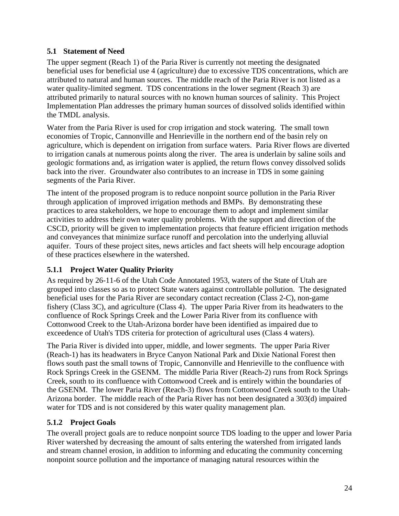## **5.1 Statement of Need**

The upper segment (Reach 1) of the Paria River is currently not meeting the designated beneficial uses for beneficial use 4 (agriculture) due to excessive TDS concentrations, which are attributed to natural and human sources. The middle reach of the Paria River is not listed as a water quality-limited segment. TDS concentrations in the lower segment (Reach 3) are attributed primarily to natural sources with no known human sources of salinity. This Project Implementation Plan addresses the primary human sources of dissolved solids identified within the TMDL analysis.

Water from the Paria River is used for crop irrigation and stock watering. The small town economies of Tropic, Cannonville and Henrieville in the northern end of the basin rely on agriculture, which is dependent on irrigation from surface waters. Paria River flows are diverted to irrigation canals at numerous points along the river. The area is underlain by saline soils and geologic formations and, as irrigation water is applied, the return flows convey dissolved solids back into the river. Groundwater also contributes to an increase in TDS in some gaining segments of the Paria River.

The intent of the proposed program is to reduce nonpoint source pollution in the Paria River through application of improved irrigation methods and BMPs. By demonstrating these practices to area stakeholders, we hope to encourage them to adopt and implement similar activities to address their own water quality problems. With the support and direction of the CSCD, priority will be given to implementation projects that feature efficient irrigation methods and conveyances that minimize surface runoff and percolation into the underlying alluvial aquifer. Tours of these project sites, news articles and fact sheets will help encourage adoption of these practices elsewhere in the watershed.

# **5.1.1 Project Water Quality Priority**

As required by 26-11-6 of the Utah Code Annotated 1953, waters of the State of Utah are grouped into classes so as to protect State waters against controllable pollution. The designated beneficial uses for the Paria River are secondary contact recreation (Class 2-C), non-game fishery (Class 3C), and agriculture (Class 4). The upper Paria River from its headwaters to the confluence of Rock Springs Creek and the Lower Paria River from its confluence with Cottonwood Creek to the Utah-Arizona border have been identified as impaired due to exceedence of Utah's TDS criteria for protection of agricultural uses (Class 4 waters).

The Paria River is divided into upper, middle, and lower segments. The upper Paria River (Reach-1) has its headwaters in Bryce Canyon National Park and Dixie National Forest then flows south past the small towns of Tropic, Cannonville and Henrieville to the confluence with Rock Springs Creek in the GSENM. The middle Paria River (Reach-2) runs from Rock Springs Creek, south to its confluence with Cottonwood Creek and is entirely within the boundaries of the GSENM. The lower Paria River (Reach-3) flows from Cottonwood Creek south to the Utah-Arizona border. The middle reach of the Paria River has not been designated a 303(d) impaired water for TDS and is not considered by this water quality management plan.

# **5.1.2 Project Goals**

The overall project goals are to reduce nonpoint source TDS loading to the upper and lower Paria River watershed by decreasing the amount of salts entering the watershed from irrigated lands and stream channel erosion, in addition to informing and educating the community concerning nonpoint source pollution and the importance of managing natural resources within the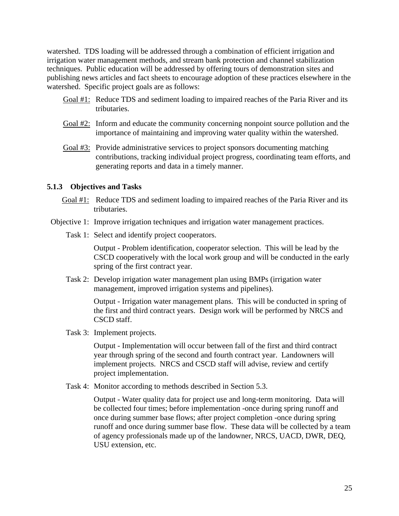watershed. TDS loading will be addressed through a combination of efficient irrigation and irrigation water management methods, and stream bank protection and channel stabilization techniques. Public education will be addressed by offering tours of demonstration sites and publishing news articles and fact sheets to encourage adoption of these practices elsewhere in the watershed. Specific project goals are as follows:

- Goal #1: Reduce TDS and sediment loading to impaired reaches of the Paria River and its tributaries.
- Goal #2: Inform and educate the community concerning nonpoint source pollution and the importance of maintaining and improving water quality within the watershed.
- Goal #3: Provide administrative services to project sponsors documenting matching contributions, tracking individual project progress, coordinating team efforts, and generating reports and data in a timely manner.

#### **5.1.3 Objectives and Tasks**

- Goal #1: Reduce TDS and sediment loading to impaired reaches of the Paria River and its tributaries.
- Objective 1: Improve irrigation techniques and irrigation water management practices.
	- Task 1: Select and identify project cooperators.

 Output - Problem identification, cooperator selection. This will be lead by the CSCD cooperatively with the local work group and will be conducted in the early spring of the first contract year.

 Task 2: Develop irrigation water management plan using BMPs (irrigation water management, improved irrigation systems and pipelines).

> Output - Irrigation water management plans. This will be conducted in spring of the first and third contract years. Design work will be performed by NRCS and CSCD staff.

Task 3: Implement projects.

 Output - Implementation will occur between fall of the first and third contract year through spring of the second and fourth contract year. Landowners will implement projects. NRCS and CSCD staff will advise, review and certify project implementation.

Task 4: Monitor according to methods described in Section 5.3.

 Output - Water quality data for project use and long-term monitoring. Data will be collected four times; before implementation -once during spring runoff and once during summer base flows; after project completion -once during spring runoff and once during summer base flow. These data will be collected by a team of agency professionals made up of the landowner, NRCS, UACD, DWR, DEQ, USU extension, etc.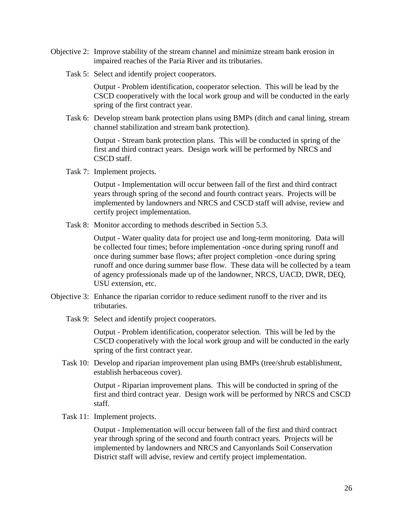- Objective 2: Improve stability of the stream channel and minimize stream bank erosion in impaired reaches of the Paria River and its tributaries.
	- Task 5: Select and identify project cooperators.

 Output - Problem identification, cooperator selection. This will be lead by the CSCD cooperatively with the local work group and will be conducted in the early spring of the first contract year.

 Task 6: Develop stream bank protection plans using BMPs (ditch and canal lining, stream channel stabilization and stream bank protection).

 Output - Stream bank protection plans. This will be conducted in spring of the first and third contract years. Design work will be performed by NRCS and CSCD staff.

Task 7: Implement projects.

 Output - Implementation will occur between fall of the first and third contract years through spring of the second and fourth contract years. Projects will be implemented by landowners and NRCS and CSCD staff will advise, review and certify project implementation.

Task 8: Monitor according to methods described in Section 5.3.

 Output - Water quality data for project use and long-term monitoring. Data will be collected four times; before implementation -once during spring runoff and once during summer base flows; after project completion -once during spring runoff and once during summer base flow. These data will be collected by a team of agency professionals made up of the landowner, NRCS, UACD, DWR, DEQ, USU extension, etc.

- Objective 3: Enhance the riparian corridor to reduce sediment runoff to the river and its tributaries.
	- Task 9: Select and identify project cooperators.

 Output - Problem identification, cooperator selection. This will be led by the CSCD cooperatively with the local work group and will be conducted in the early spring of the first contract year.

 Task 10: Develop and riparian improvement plan using BMPs (tree/shrub establishment, establish herbaceous cover).

> Output - Riparian improvement plans. This will be conducted in spring of the first and third contract year. Design work will be performed by NRCS and CSCD staff.

Task 11: Implement projects.

 Output - Implementation will occur between fall of the first and third contract year through spring of the second and fourth contract years. Projects will be implemented by landowners and NRCS and Canyonlands Soil Conservation District staff will advise, review and certify project implementation.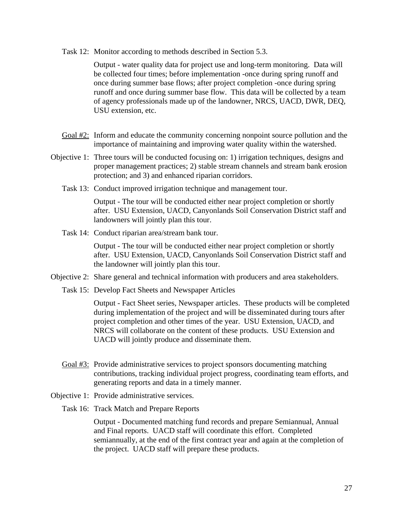Task 12: Monitor according to methods described in Section 5.3.

 Output - water quality data for project use and long-term monitoring. Data will be collected four times; before implementation -once during spring runoff and once during summer base flows; after project completion -once during spring runoff and once during summer base flow. This data will be collected by a team of agency professionals made up of the landowner, NRCS, UACD, DWR, DEQ, USU extension, etc.

- Goal #2: Inform and educate the community concerning nonpoint source pollution and the importance of maintaining and improving water quality within the watershed.
- Objective 1: Three tours will be conducted focusing on: 1) irrigation techniques, designs and proper management practices; 2) stable stream channels and stream bank erosion protection; and 3) and enhanced riparian corridors.
	- Task 13: Conduct improved irrigation technique and management tour.

 Output - The tour will be conducted either near project completion or shortly after. USU Extension, UACD, Canyonlands Soil Conservation District staff and landowners will jointly plan this tour.

Task 14: Conduct riparian area/stream bank tour.

 Output - The tour will be conducted either near project completion or shortly after. USU Extension, UACD, Canyonlands Soil Conservation District staff and the landowner will jointly plan this tour.

- Objective 2: Share general and technical information with producers and area stakeholders.
	- Task 15: Develop Fact Sheets and Newspaper Articles

 Output - Fact Sheet series, Newspaper articles. These products will be completed during implementation of the project and will be disseminated during tours after project completion and other times of the year. USU Extension, UACD, and NRCS will collaborate on the content of these products. USU Extension and UACD will jointly produce and disseminate them.

- Goal #3: Provide administrative services to project sponsors documenting matching contributions, tracking individual project progress, coordinating team efforts, and generating reports and data in a timely manner.
- Objective 1: Provide administrative services.
	- Task 16: Track Match and Prepare Reports

 Output - Documented matching fund records and prepare Semiannual, Annual and Final reports. UACD staff will coordinate this effort. Completed semiannually, at the end of the first contract year and again at the completion of the project. UACD staff will prepare these products.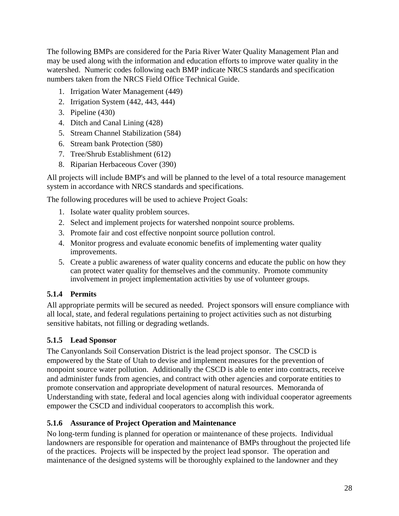The following BMPs are considered for the Paria River Water Quality Management Plan and may be used along with the information and education efforts to improve water quality in the watershed. Numeric codes following each BMP indicate NRCS standards and specification numbers taken from the NRCS Field Office Technical Guide.

- 1. Irrigation Water Management (449)
- 2. Irrigation System (442, 443, 444)
- 3. Pipeline (430)
- 4. Ditch and Canal Lining (428)
- 5. Stream Channel Stabilization (584)
- 6. Stream bank Protection (580)
- 7. Tree/Shrub Establishment (612)
- 8. Riparian Herbaceous Cover (390)

All projects will include BMP's and will be planned to the level of a total resource management system in accordance with NRCS standards and specifications.

The following procedures will be used to achieve Project Goals:

- 1. Isolate water quality problem sources.
- 2. Select and implement projects for watershed nonpoint source problems.
- 3. Promote fair and cost effective nonpoint source pollution control.
- 4. Monitor progress and evaluate economic benefits of implementing water quality improvements.
- 5. Create a public awareness of water quality concerns and educate the public on how they can protect water quality for themselves and the community. Promote community involvement in project implementation activities by use of volunteer groups.

#### **5.1.4 Permits**

All appropriate permits will be secured as needed. Project sponsors will ensure compliance with all local, state, and federal regulations pertaining to project activities such as not disturbing sensitive habitats, not filling or degrading wetlands.

# **5.1.5 Lead Sponsor**

The Canyonlands Soil Conservation District is the lead project sponsor. The CSCD is empowered by the State of Utah to devise and implement measures for the prevention of nonpoint source water pollution. Additionally the CSCD is able to enter into contracts, receive and administer funds from agencies, and contract with other agencies and corporate entities to promote conservation and appropriate development of natural resources. Memoranda of Understanding with state, federal and local agencies along with individual cooperator agreements empower the CSCD and individual cooperators to accomplish this work.

#### **5.1.6 Assurance of Project Operation and Maintenance**

No long-term funding is planned for operation or maintenance of these projects. Individual landowners are responsible for operation and maintenance of BMPs throughout the projected life of the practices. Projects will be inspected by the project lead sponsor. The operation and maintenance of the designed systems will be thoroughly explained to the landowner and they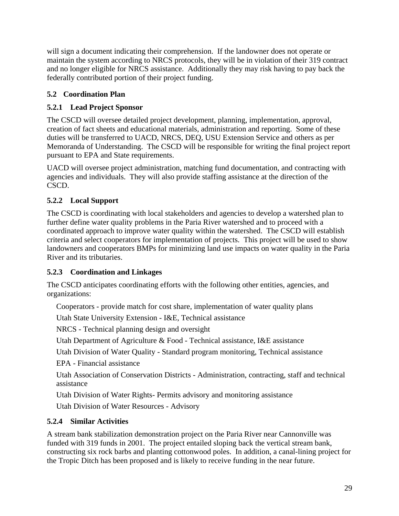will sign a document indicating their comprehension. If the landowner does not operate or maintain the system according to NRCS protocols, they will be in violation of their 319 contract and no longer eligible for NRCS assistance. Additionally they may risk having to pay back the federally contributed portion of their project funding.

# **5.2 Coordination Plan**

# **5.2.1 Lead Project Sponsor**

The CSCD will oversee detailed project development, planning, implementation, approval, creation of fact sheets and educational materials, administration and reporting. Some of these duties will be transferred to UACD, NRCS, DEQ, USU Extension Service and others as per Memoranda of Understanding. The CSCD will be responsible for writing the final project report pursuant to EPA and State requirements.

UACD will oversee project administration, matching fund documentation, and contracting with agencies and individuals. They will also provide staffing assistance at the direction of the CSCD.

# **5.2.2 Local Support**

The CSCD is coordinating with local stakeholders and agencies to develop a watershed plan to further define water quality problems in the Paria River watershed and to proceed with a coordinated approach to improve water quality within the watershed. The CSCD will establish criteria and select cooperators for implementation of projects. This project will be used to show landowners and cooperators BMPs for minimizing land use impacts on water quality in the Paria River and its tributaries.

# **5.2.3 Coordination and Linkages**

The CSCD anticipates coordinating efforts with the following other entities, agencies, and organizations:

Cooperators - provide match for cost share, implementation of water quality plans

Utah State University Extension - I&E, Technical assistance

NRCS - Technical planning design and oversight

Utah Department of Agriculture & Food - Technical assistance, I&E assistance

Utah Division of Water Quality - Standard program monitoring, Technical assistance

EPA - Financial assistance

Utah Association of Conservation Districts - Administration, contracting, staff and technical assistance

Utah Division of Water Rights- Permits advisory and monitoring assistance

Utah Division of Water Resources - Advisory

# **5.2.4 Similar Activities**

A stream bank stabilization demonstration project on the Paria River near Cannonville was funded with 319 funds in 2001. The project entailed sloping back the vertical stream bank, constructing six rock barbs and planting cottonwood poles. In addition, a canal-lining project for the Tropic Ditch has been proposed and is likely to receive funding in the near future.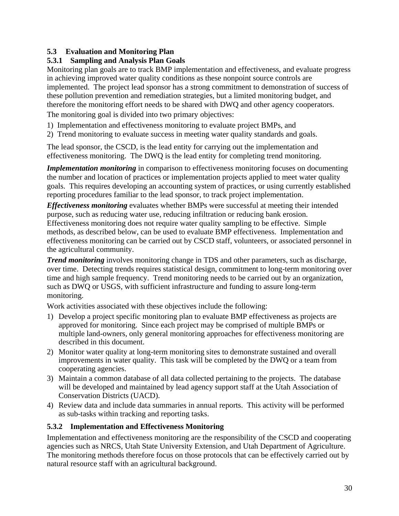# **5.3 Evaluation and Monitoring Plan**

# **5.3.1 Sampling and Analysis Plan Goals**

Monitoring plan goals are to track BMP implementation and effectiveness, and evaluate progress in achieving improved water quality conditions as these nonpoint source controls are implemented. The project lead sponsor has a strong commitment to demonstration of success of these pollution prevention and remediation strategies, but a limited monitoring budget, and therefore the monitoring effort needs to be shared with DWQ and other agency cooperators.

The monitoring goal is divided into two primary objectives:

- 1) Implementation and effectiveness monitoring to evaluate project BMPs, and
- 2) Trend monitoring to evaluate success in meeting water quality standards and goals.

The lead sponsor, the CSCD, is the lead entity for carrying out the implementation and effectiveness monitoring. The DWQ is the lead entity for completing trend monitoring.

*Implementation monitoring* in comparison to effectiveness monitoring focuses on documenting the number and location of practices or implementation projects applied to meet water quality goals. This requires developing an accounting system of practices, or using currently established reporting procedures familiar to the lead sponsor, to track project implementation.

*Effectiveness monitoring* evaluates whether BMPs were successful at meeting their intended purpose, such as reducing water use, reducing infiltration or reducing bank erosion. Effectiveness monitoring does not require water quality sampling to be effective. Simple methods, as described below, can be used to evaluate BMP effectiveness. Implementation and effectiveness monitoring can be carried out by CSCD staff, volunteers, or associated personnel in the agricultural community.

*Trend monitoring* involves monitoring change in TDS and other parameters, such as discharge, over time. Detecting trends requires statistical design, commitment to long-term monitoring over time and high sample frequency. Trend monitoring needs to be carried out by an organization, such as DWQ or USGS, with sufficient infrastructure and funding to assure long-term monitoring.

Work activities associated with these objectives include the following:

- 1) Develop a project specific monitoring plan to evaluate BMP effectiveness as projects are approved for monitoring. Since each project may be comprised of multiple BMPs or multiple land-owners, only general monitoring approaches for effectiveness monitoring are described in this document.
- 2) Monitor water quality at long-term monitoring sites to demonstrate sustained and overall improvements in water quality. This task will be completed by the DWQ or a team from cooperating agencies.
- 3) Maintain a common database of all data collected pertaining to the projects. The database will be developed and maintained by lead agency support staff at the Utah Association of Conservation Districts (UACD).
- 4) Review data and include data summaries in annual reports. This activity will be performed as sub-tasks within tracking and reporting tasks.

# **5.3.2 Implementation and Effectiveness Monitoring**

Implementation and effectiveness monitoring are the responsibility of the CSCD and cooperating agencies such as NRCS, Utah State University Extension, and Utah Department of Agriculture. The monitoring methods therefore focus on those protocols that can be effectively carried out by natural resource staff with an agricultural background.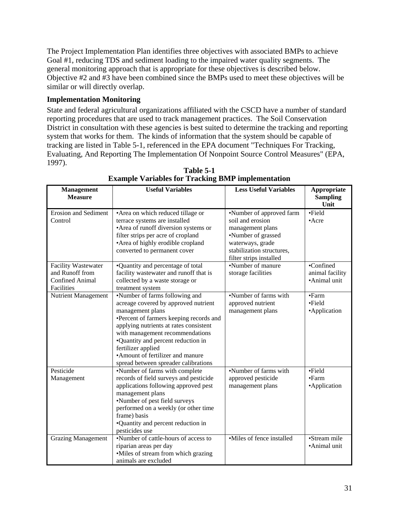The Project Implementation Plan identifies three objectives with associated BMPs to achieve Goal #1, reducing TDS and sediment loading to the impaired water quality segments. The general monitoring approach that is appropriate for these objectives is described below. Objective #2 and #3 have been combined since the BMPs used to meet these objectives will be similar or will directly overlap.

#### **Implementation Monitoring**

State and federal agricultural organizations affiliated with the CSCD have a number of standard reporting procedures that are used to track management practices. The Soil Conservation District in consultation with these agencies is best suited to determine the tracking and reporting system that works for them. The kinds of information that the system should be capable of tracking are listed in Table 5-1, referenced in the EPA document "Techniques For Tracking, Evaluating, And Reporting The Implementation Of Nonpoint Source Control Measures" (EPA, 1997).

| <b>Management</b>           | <b>Useful Variables</b>                 | <b>Less Useful Variables</b> | Appropriate             |
|-----------------------------|-----------------------------------------|------------------------------|-------------------------|
| <b>Measure</b>              |                                         |                              | <b>Sampling</b><br>Unit |
| <b>Erosion and Sediment</b> | • Area on which reduced tillage or      | •Number of approved farm     | ·Field                  |
| Control                     | terrace systems are installed           | soil and erosion             | $•$ Acre                |
|                             | • Area of runoff diversion systems or   | management plans             |                         |
|                             | filter strips per acre of cropland      | •Number of grassed           |                         |
|                             | • Area of highly erodible cropland      | waterways, grade             |                         |
|                             | converted to permanent cover            | stabilization structures,    |                         |
|                             |                                         | filter strips installed      |                         |
| <b>Facility Wastewater</b>  | •Quantity and percentage of total       | •Number of manure            | •Confined               |
| and Runoff from             | facility wastewater and runoff that is  | storage facilities           | animal facility         |
| <b>Confined Animal</b>      | collected by a waste storage or         |                              | •Animal unit            |
| Facilities                  | treatment system                        |                              |                         |
| <b>Nutrient Management</b>  | •Number of farms following and          | •Number of farms with        | •Farm                   |
|                             | acreage covered by approved nutrient    | approved nutrient            | $\bullet$ Field         |
|                             | management plans                        | management plans             | •Application            |
|                             | ·Percent of farmers keeping records and |                              |                         |
|                             | applying nutrients at rates consistent  |                              |                         |
|                             | with management recommendations         |                              |                         |
|                             | •Quantity and percent reduction in      |                              |                         |
|                             | fertilizer applied                      |                              |                         |
|                             | •Amount of fertilizer and manure        |                              |                         |
|                             | spread between spreader calibrations    |                              |                         |
| Pesticide                   | •Number of farms with complete          | •Number of farms with        | •Field                  |
| Management                  | records of field surveys and pesticide  | approved pesticide           | •Farm                   |
|                             | applications following approved pest    | management plans             | •Application            |
|                             | management plans                        |                              |                         |
|                             | •Number of pest field surveys           |                              |                         |
|                             | performed on a weekly (or other time    |                              |                         |
|                             | frame) basis                            |                              |                         |
|                             | •Quantity and percent reduction in      |                              |                         |
|                             | pesticides use                          |                              |                         |
| <b>Grazing Management</b>   | •Number of cattle-hours of access to    | •Miles of fence installed    | •Stream mile            |
|                             | riparian areas per day                  |                              | •Animal unit            |
|                             | •Miles of stream from which grazing     |                              |                         |
|                             | animals are excluded                    |                              |                         |

**Table 5-1 Example Variables for Tracking BMP implementation**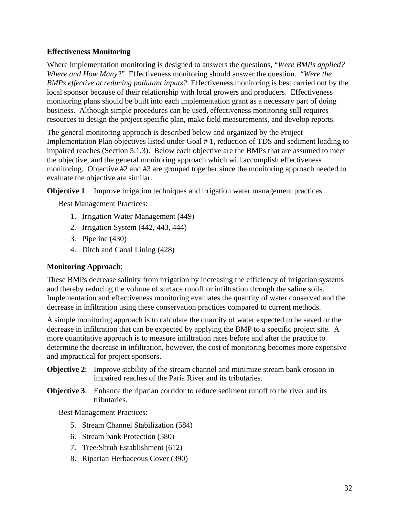#### **Effectiveness Monitoring**

Where implementation monitoring is designed to answers the questions, "*Were BMPs applied? Where and How Many?*" Effectiveness monitoring should answer the question. "*Were the BMPs effective at reducing pollutant inputs?* Effectiveness monitoring is best carried out by the local sponsor because of their relationship with local growers and producers. Effectiveness monitoring plans should be built into each implementation grant as a necessary part of doing business. Although simple procedures can be used, effectiveness monitoring still requires resources to design the project specific plan, make field measurements, and develop reports.

The general monitoring approach is described below and organized by the Project Implementation Plan objectives listed under Goal # 1, reduction of TDS and sediment loading to impaired reaches (Section 5.1.3). Below each objective are the BMPs that are assumed to meet the objective, and the general monitoring approach which will accomplish effectiveness monitoring. Objective #2 and #3 are grouped together since the monitoring approach needed to evaluate the objective are similar.

**Objective 1:** Improve irrigation techniques and irrigation water management practices.

Best Management Practices:

- 1. Irrigation Water Management (449)
- 2. Irrigation System (442, 443, 444)
- 3. Pipeline (430)
- 4. Ditch and Canal Lining (428)

# **Monitoring Approach**:

These BMPs decrease salinity from irrigation by increasing the efficiency of irrigation systems and thereby reducing the volume of surface runoff or infiltration through the saline soils. Implementation and effectiveness monitoring evaluates the quantity of water conserved and the decrease in infiltration using these conservation practices compared to current methods.

A simple monitoring approach is to calculate the quantity of water expected to be saved or the decrease in infiltration that can be expected by applying the BMP to a specific project site. A more quantitative approach is to measure infiltration rates before and after the practice to determine the decrease in infiltration, however, the cost of monitoring becomes more expensive and impractical for project sponsors.

- **Objective 2:** Improve stability of the stream channel and minimize stream bank erosion in impaired reaches of the Paria River and its tributaries.
- **Objective 3**: Enhance the riparian corridor to reduce sediment runoff to the river and its tributaries.

Best Management Practices:

- 5. Stream Channel Stabilization (584)
- 6. Stream bank Protection (580)
- 7. Tree/Shrub Establishment (612)
- 8. Riparian Herbaceous Cover (390)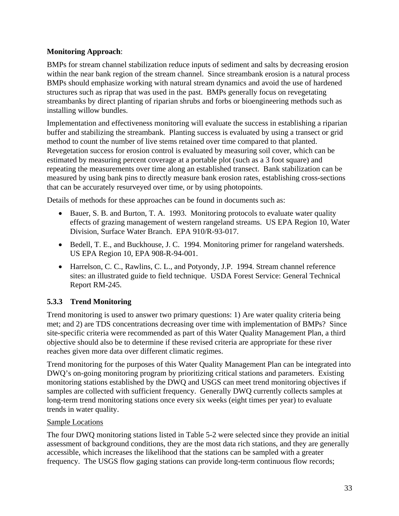#### **Monitoring Approach**:

BMPs for stream channel stabilization reduce inputs of sediment and salts by decreasing erosion within the near bank region of the stream channel. Since streambank erosion is a natural process BMPs should emphasize working with natural stream dynamics and avoid the use of hardened structures such as riprap that was used in the past. BMPs generally focus on revegetating streambanks by direct planting of riparian shrubs and forbs or bioengineering methods such as installing willow bundles.

Implementation and effectiveness monitoring will evaluate the success in establishing a riparian buffer and stabilizing the streambank. Planting success is evaluated by using a transect or grid method to count the number of live stems retained over time compared to that planted. Revegetation success for erosion control is evaluated by measuring soil cover, which can be estimated by measuring percent coverage at a portable plot (such as a 3 foot square) and repeating the measurements over time along an established transect. Bank stabilization can be measured by using bank pins to directly measure bank erosion rates, establishing cross-sections that can be accurately resurveyed over time, or by using photopoints.

Details of methods for these approaches can be found in documents such as:

- Bauer, S. B. and Burton, T. A. 1993. Monitoring protocols to evaluate water quality effects of grazing management of western rangeland streams. US EPA Region 10, Water Division, Surface Water Branch. EPA 910/R-93-017.
- Bedell, T. E., and Buckhouse, J. C. 1994. Monitoring primer for rangeland watersheds. US EPA Region 10, EPA 908-R-94-001.
- Harrelson, C. C., Rawlins, C. L., and Potyondy, J.P. 1994. Stream channel reference sites: an illustrated guide to field technique. USDA Forest Service: General Technical Report RM-245.

# **5.3.3 Trend Monitoring**

Trend monitoring is used to answer two primary questions: 1) Are water quality criteria being met; and 2) are TDS concentrations decreasing over time with implementation of BMPs? Since site-specific criteria were recommended as part of this Water Quality Management Plan, a third objective should also be to determine if these revised criteria are appropriate for these river reaches given more data over different climatic regimes.

Trend monitoring for the purposes of this Water Quality Management Plan can be integrated into DWQ's on-going monitoring program by prioritizing critical stations and parameters. Existing monitoring stations established by the DWQ and USGS can meet trend monitoring objectives if samples are collected with sufficient frequency. Generally DWQ currently collects samples at long-term trend monitoring stations once every six weeks (eight times per year) to evaluate trends in water quality.

#### Sample Locations

The four DWQ monitoring stations listed in Table 5-2 were selected since they provide an initial assessment of background conditions, they are the most data rich stations, and they are generally accessible, which increases the likelihood that the stations can be sampled with a greater frequency. The USGS flow gaging stations can provide long-term continuous flow records;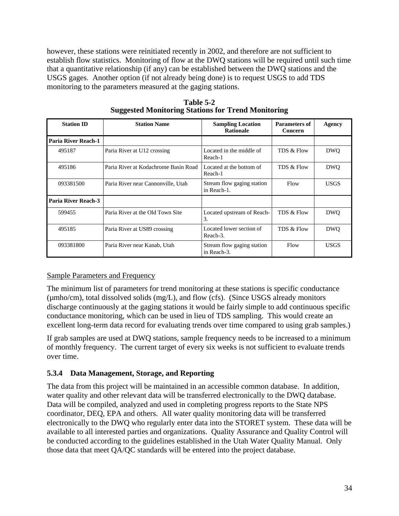however, these stations were reinitiated recently in 2002, and therefore are not sufficient to establish flow statistics. Monitoring of flow at the DWQ stations will be required until such time that a quantitative relationship (if any) can be established between the DWQ stations and the USGS gages. Another option (if not already being done) is to request USGS to add TDS monitoring to the parameters measured at the gaging stations.

| <b>Station ID</b>          | <b>Station Name</b>                  | <b>Sampling Location</b><br><b>Rationale</b> | <b>Parameters of</b><br><b>Concern</b> | Agency      |
|----------------------------|--------------------------------------|----------------------------------------------|----------------------------------------|-------------|
| <b>Paria River Reach-1</b> |                                      |                                              |                                        |             |
| 495187                     | Paria River at U12 crossing          | Located in the middle of<br>Reach-1          | TDS & Flow                             | <b>DWO</b>  |
| 495186                     | Paria River at Kodachrome Basin Road | Located at the bottom of<br>Reach-1          | TDS & Flow                             | <b>DWO</b>  |
| 093381500                  | Paria River near Cannonville, Utah   | Stream flow gaging station<br>in Reach-1.    | Flow                                   | <b>USGS</b> |
| Paria River Reach-3        |                                      |                                              |                                        |             |
| 599455                     | Paria River at the Old Town Site     | Located upstream of Reach-<br>3.             | TDS & Flow                             | <b>DWO</b>  |
| 495185                     | Paria River at US89 crossing         | Located lower section of<br>Reach-3.         | TDS & Flow                             | <b>DWO</b>  |
| 093381800                  | Paria River near Kanab, Utah         | Stream flow gaging station<br>in Reach-3.    | Flow                                   | <b>USGS</b> |

**Table 5-2 Suggested Monitoring Stations for Trend Monitoring** 

# Sample Parameters and Frequency

The minimum list of parameters for trend monitoring at these stations is specific conductance (µmho/cm), total dissolved solids (mg/L), and flow (cfs). (Since USGS already monitors discharge continuously at the gaging stations it would be fairly simple to add continuous specific conductance monitoring, which can be used in lieu of TDS sampling. This would create an excellent long-term data record for evaluating trends over time compared to using grab samples.)

If grab samples are used at DWQ stations, sample frequency needs to be increased to a minimum of monthly frequency. The current target of every six weeks is not sufficient to evaluate trends over time.

# **5.3.4 Data Management, Storage, and Reporting**

The data from this project will be maintained in an accessible common database. In addition, water quality and other relevant data will be transferred electronically to the DWQ database. Data will be compiled, analyzed and used in completing progress reports to the State NPS coordinator, DEQ, EPA and others. All water quality monitoring data will be transferred electronically to the DWQ who regularly enter data into the STORET system. These data will be available to all interested parties and organizations. Quality Assurance and Quality Control will be conducted according to the guidelines established in the Utah Water Quality Manual. Only those data that meet QA/QC standards will be entered into the project database.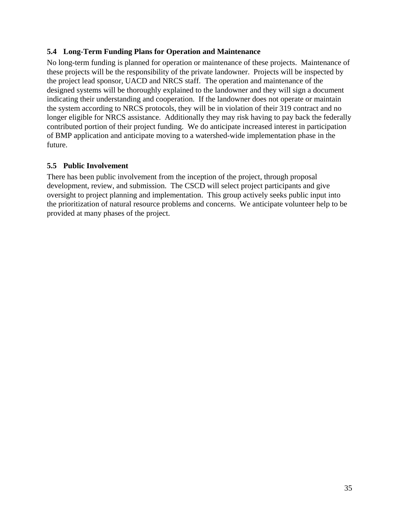#### **5.4 Long-Term Funding Plans for Operation and Maintenance**

No long-term funding is planned for operation or maintenance of these projects. Maintenance of these projects will be the responsibility of the private landowner. Projects will be inspected by the project lead sponsor, UACD and NRCS staff. The operation and maintenance of the designed systems will be thoroughly explained to the landowner and they will sign a document indicating their understanding and cooperation. If the landowner does not operate or maintain the system according to NRCS protocols, they will be in violation of their 319 contract and no longer eligible for NRCS assistance. Additionally they may risk having to pay back the federally contributed portion of their project funding. We do anticipate increased interest in participation of BMP application and anticipate moving to a watershed-wide implementation phase in the future.

# **5.5 Public Involvement**

There has been public involvement from the inception of the project, through proposal development, review, and submission. The CSCD will select project participants and give oversight to project planning and implementation. This group actively seeks public input into the prioritization of natural resource problems and concerns. We anticipate volunteer help to be provided at many phases of the project.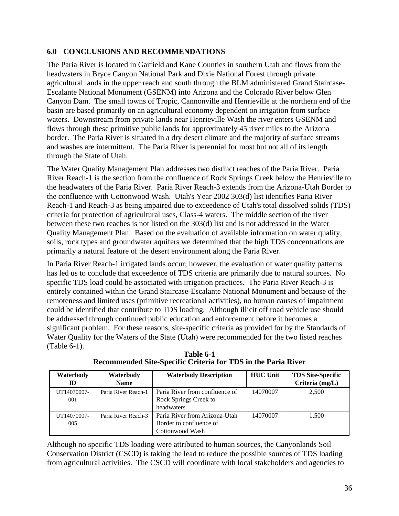# **6.0 CONCLUSIONS AND RECOMMENDATIONS**

The Paria River is located in Garfield and Kane Counties in southern Utah and flows from the headwaters in Bryce Canyon National Park and Dixie National Forest through private agricultural lands in the upper reach and south through the BLM administered Grand Staircase-Escalante National Monument (GSENM) into Arizona and the Colorado River below Glen Canyon Dam. The small towns of Tropic, Cannonville and Henrieville at the northern end of the basin are based primarily on an agricultural economy dependent on irrigation from surface waters. Downstream from private lands near Henrieville Wash the river enters GSENM and flows through these primitive public lands for approximately 45 river miles to the Arizona border. The Paria River is situated in a dry desert climate and the majority of surface streams and washes are intermittent. The Paria River is perennial for most but not all of its length through the State of Utah.

The Water Quality Management Plan addresses two distinct reaches of the Paria River. Paria River Reach-1 is the section from the confluence of Rock Springs Creek below the Henrieville to the headwaters of the Paria River. Paria River Reach-3 extends from the Arizona-Utah Border to the confluence with Cottonwood Wash. Utah's Year 2002 303(d) list identifies Paria River Reach-1 and Reach-3 as being impaired due to exceedence of Utah's total dissolved solids (TDS) criteria for protection of agricultural uses, Class-4 waters. The middle section of the river between these two reaches is not listed on the 303(d) list and is not addressed in the Water Quality Management Plan. Based on the evaluation of available information on water quality, soils, rock types and groundwater aquifers we determined that the high TDS concentrations are primarily a natural feature of the desert environment along the Paria River.

In Paria River Reach-1 irrigated lands occur; however, the evaluation of water quality patterns has led us to conclude that exceedence of TDS criteria are primarily due to natural sources. No specific TDS load could be associated with irrigation practices. The Paria River Reach-3 is entirely contained within the Grand Staircase-Escalante National Monument and because of the remoteness and limited uses (primitive recreational activities), no human causes of impairment could be identified that contribute to TDS loading. Although illicit off road vehicle use should be addressed through continued public education and enforcement before it becomes a significant problem. For these reasons, site-specific criteria as provided for by the Standards of Water Quality for the Waters of the State (Utah) were recommended for the two listed reaches (Table 6-1).

| Waterbody   | Waterbody           | <b>Waterbody Description</b>   | <b>HUC Unit</b> | <b>TDS Site-Specific</b> |
|-------------|---------------------|--------------------------------|-----------------|--------------------------|
| ID          | <b>Name</b>         |                                |                 | Criteria (mg/L)          |
| UT14070007- | Paria River Reach-1 | Paria River from confluence of | 14070007        | 2,500                    |
| 001         |                     | Rock Springs Creek to          |                 |                          |
|             |                     | headwaters                     |                 |                          |
| UT14070007- | Paria River Reach-3 | Paria River from Arizona-Utah  | 14070007        | 1,500                    |
| 005         |                     | Border to confluence of        |                 |                          |
|             |                     | Cottonwood Wash                |                 |                          |

**Table 6-1 Recommended Site-Specific Criteria for TDS in the Paria River** 

Although no specific TDS loading were attributed to human sources, the Canyonlands Soil Conservation District (CSCD) is taking the lead to reduce the possible sources of TDS loading from agricultural activities. The CSCD will coordinate with local stakeholders and agencies to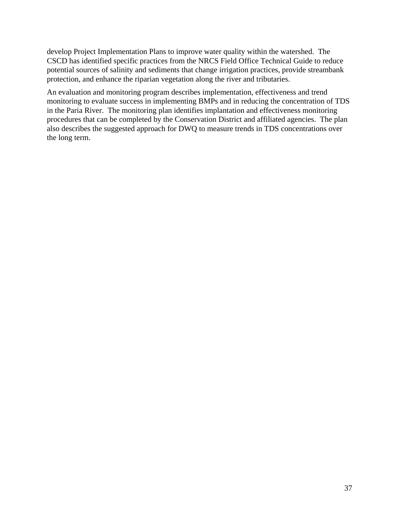develop Project Implementation Plans to improve water quality within the watershed. The CSCD has identified specific practices from the NRCS Field Office Technical Guide to reduce potential sources of salinity and sediments that change irrigation practices, provide streambank protection, and enhance the riparian vegetation along the river and tributaries.

An evaluation and monitoring program describes implementation, effectiveness and trend monitoring to evaluate success in implementing BMPs and in reducing the concentration of TDS in the Paria River. The monitoring plan identifies implantation and effectiveness monitoring procedures that can be completed by the Conservation District and affiliated agencies. The plan also describes the suggested approach for DWQ to measure trends in TDS concentrations over the long term.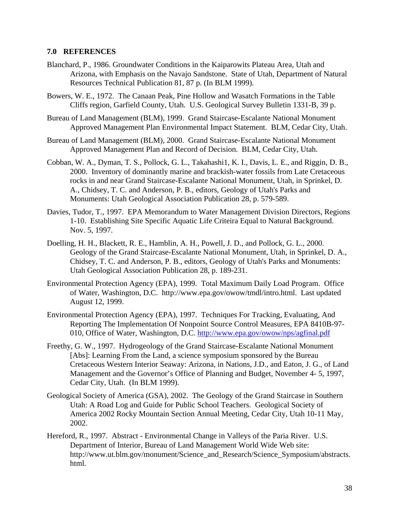#### **7.0 REFERENCES**

- Blanchard, P., 1986. Groundwater Conditions in the Kaiparowits Plateau Area, Utah and Arizona, with Emphasis on the Navajo Sandstone. State of Utah, Department of Natural Resources Technical Publication 81, 87 p. (In BLM 1999).
- Bowers, W. E., 1972. The Canaan Peak, Pine Hollow and Wasatch Formations in the Table Cliffs region, Garfield County, Utah. U.S. Geological Survey Bulletin 1331-B, 39 p.
- Bureau of Land Management (BLM), 1999. Grand Staircase-Escalante National Monument Approved Management Plan Environmental Impact Statement. BLM, Cedar City, Utah.
- Bureau of Land Management (BLM), 2000. Grand Staircase-Escalante National Monument Approved Management Plan and Record of Decision. BLM, Cedar City, Utah.
- Cobban, W. A., Dyman, T. S., Pollock, G. L., Takahashi1, K. I., Davis, L. E., and Riggin, D. B., 2000. Inventory of dominantly marine and brackish-water fossils from Late Cretaceous rocks in and near Grand Staircase-Escalante National Monument, Utah, in Sprinkel, D. A., Chidsey, T. C. and Anderson, P. B., editors, Geology of Utah's Parks and Monuments: Utah Geological Association Publication 28, p. 579-589.
- Davies, Tudor, T., 1997. EPA Memorandum to Water Management Division Directors, Regions 1-10. Establishing Site Specific Aquatic Life Criteira Equal to Natural Background. Nov. 5, 1997.
- Doelling, H. H., Blackett, R. E., Hamblin, A. H., Powell, J. D., and Pollock, G. L., 2000. Geology of the Grand Staircase-Escalante National Monument, Utah, in Sprinkel, D. A., Chidsey, T. C. and Anderson, P. B., editors, Geology of Utah's Parks and Monuments: Utah Geological Association Publication 28, p. 189-231.
- Environmental Protection Agency (EPA), 1999. Total Maximum Daily Load Program. Office of Water, Washington, D.C. http://www.epa.gov/owow/tmdl/intro.html. Last updated August 12, 1999.
- Environmental Protection Agency (EPA), 1997. Techniques For Tracking, Evaluating, And Reporting The Implementation Of Nonpoint Source Control Measures, EPA 8410B-97- 010, Office of Water, Washington, D.C. http://www.epa.gov/owow/nps/agfinal.pdf
- Freethy, G. W., 1997. Hydrogeology of the Grand Staircase-Escalante National Monument [Abs]: Learning From the Land, a science symposium sponsored by the Bureau Cretaceous Western Interior Seaway: Arizona, in Nations, J.D., and Eaton, J. G., of Land Management and the Governor's Office of Planning and Budget, November 4- 5, 1997, Cedar City, Utah. (In BLM 1999).
- Geological Society of America (GSA), 2002. The Geology of the Grand Staircase in Southern Utah: A Road Log and Guide for Public School Teachers. Geological Society of America 2002 Rocky Mountain Section Annual Meeting, Cedar City, Utah 10-11 May, 2002.
- Hereford, R., 1997. Abstract Environmental Change in Valleys of the Paria River. U.S. Department of Interior, Bureau of Land Management World Wide Web site: http://www.ut.blm.gov/monument/Science\_and\_Research/Science\_Symposium/abstracts. html.